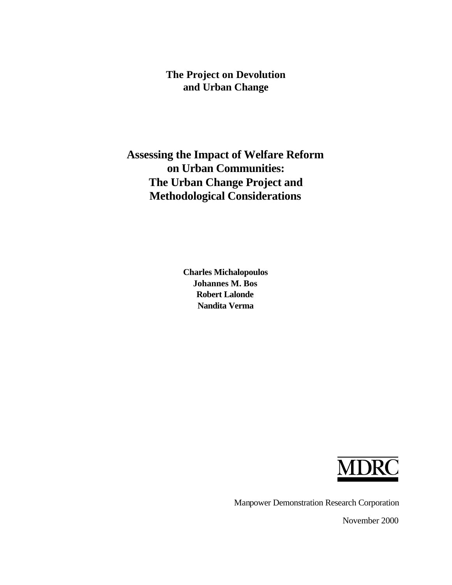# **The Project on Devolution and Urban Change**

# **Assessing the Impact of Welfare Reform on Urban Communities: The Urban Change Project and Methodological Considerations**

**Charles Michalopoulos Johannes M. Bos Robert Lalonde Nandita Verma**



Manpower Demonstration Research Corporation

November 2000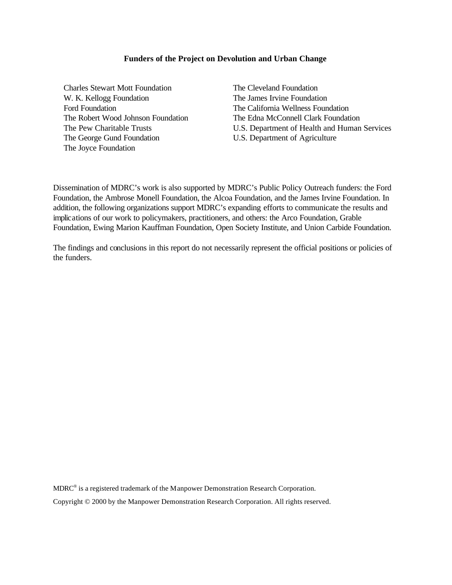#### **Funders of the Project on Devolution and Urban Change**

Charles Stewart Mott Foundation The Cleveland Foundation W. K. Kellogg Foundation The James Irvine Foundation Ford Foundation The California Wellness Foundation The George Gund Foundation U.S. Department of Agriculture The Joyce Foundation

The Robert Wood Johnson Foundation The Edna McConnell Clark Foundation The Pew Charitable Trusts U.S. Department of Health and Human Services

Dissemination of MDRC's work is also supported by MDRC's Public Policy Outreach funders: the Ford Foundation, the Ambrose Monell Foundation, the Alcoa Foundation, and the James Irvine Foundation. In addition, the following organizations support MDRC's expanding efforts to communicate the results and implications of our work to policymakers, practitioners, and others: the Arco Foundation, Grable Foundation, Ewing Marion Kauffman Foundation, Open Society Institute, and Union Carbide Foundation.

The findings and conclusions in this report do not necessarily represent the official positions or policies of the funders.

 $MDRC^{\circledast}$  is a registered trademark of the Manpower Demonstration Research Corporation. Copyright © 2000 by the Manpower Demonstration Research Corporation. All rights reserved.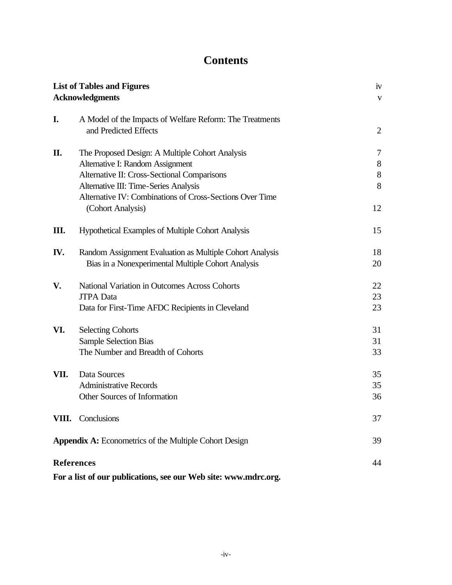# **Contents**

|                   | <b>List of Tables and Figures</b>                               | iv             |
|-------------------|-----------------------------------------------------------------|----------------|
|                   | <b>Acknowledgments</b>                                          | $\mathbf{V}$   |
|                   |                                                                 |                |
| I.                | A Model of the Impacts of Welfare Reform: The Treatments        |                |
|                   | and Predicted Effects                                           | $\overline{2}$ |
|                   |                                                                 |                |
| П.                | The Proposed Design: A Multiple Cohort Analysis                 | 7              |
|                   | Alternative I: Random Assignment                                | $8\phantom{1}$ |
|                   | Alternative II: Cross-Sectional Comparisons                     | $8\,$          |
|                   | Alternative III: Time-Series Analysis                           | 8              |
|                   | Alternative IV: Combinations of Cross-Sections Over Time        |                |
|                   | (Cohort Analysis)                                               | 12             |
| Ш.                | Hypothetical Examples of Multiple Cohort Analysis               | 15             |
|                   |                                                                 |                |
| IV.               | Random Assignment Evaluation as Multiple Cohort Analysis        | 18             |
|                   | Bias in a Nonexperimental Multiple Cohort Analysis              | 20             |
| V.                | National Variation in Outcomes Across Cohorts                   | 22             |
|                   | <b>JTPA</b> Data                                                | 23             |
|                   | Data for First-Time AFDC Recipients in Cleveland                | 23             |
| VI.               | <b>Selecting Cohorts</b>                                        | 31             |
|                   | <b>Sample Selection Bias</b>                                    | 31             |
|                   | The Number and Breadth of Cohorts                               | 33             |
|                   |                                                                 |                |
| VII.              | Data Sources                                                    | 35             |
|                   | <b>Administrative Records</b>                                   | 35             |
|                   | Other Sources of Information                                    | 36             |
|                   | VIII. Conclusions                                               | 37             |
|                   | Appendix A: Econometrics of the Multiple Cohort Design          | 39             |
| <b>References</b> |                                                                 | 44             |
|                   | For a list of our publications, see our Web site: www.mdrc.org. |                |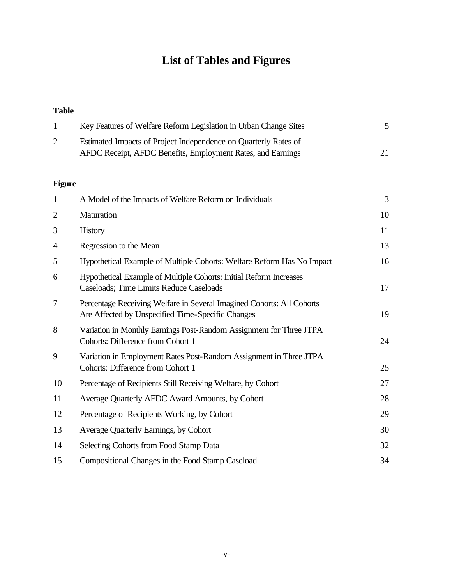# **List of Tables and Figures**

# **Table**

| $\mathbf{1}$   | Key Features of Welfare Reform Legislation in Urban Change Sites                                                               | 5  |
|----------------|--------------------------------------------------------------------------------------------------------------------------------|----|
| $\overline{2}$ | Estimated Impacts of Project Independence on Quarterly Rates of<br>AFDC Receipt, AFDC Benefits, Employment Rates, and Earnings | 21 |
| <b>Figure</b>  |                                                                                                                                |    |
| $\mathbf{1}$   | A Model of the Impacts of Welfare Reform on Individuals                                                                        | 3  |
| $\overline{2}$ | Maturation                                                                                                                     | 10 |
| 3              | History                                                                                                                        | 11 |
| 4              | Regression to the Mean                                                                                                         | 13 |
| 5              | Hypothetical Example of Multiple Cohorts: Welfare Reform Has No Impact                                                         | 16 |
| 6              | Hypothetical Example of Multiple Cohorts: Initial Reform Increases<br><b>Caseloads</b> ; Time Limits Reduce Caseloads          | 17 |
| 7              | Percentage Receiving Welfare in Several Imagined Cohorts: All Cohorts<br>Are Affected by Unspecified Time-Specific Changes     | 19 |
| 8              | Variation in Monthly Earnings Post-Random Assignment for Three JTPA<br>Cohorts: Difference from Cohort 1                       | 24 |
| 9              | Variation in Employment Rates Post-Random Assignment in Three JTPA<br><b>Cohorts: Difference from Cohort 1</b>                 | 25 |
| 10             | Percentage of Recipients Still Receiving Welfare, by Cohort                                                                    | 27 |
| 11             | Average Quarterly AFDC Award Amounts, by Cohort                                                                                | 28 |
| 12             | Percentage of Recipients Working, by Cohort                                                                                    | 29 |
| 13             | Average Quarterly Earnings, by Cohort                                                                                          | 30 |
| 14             | Selecting Cohorts from Food Stamp Data                                                                                         | 32 |
| 15             | Compositional Changes in the Food Stamp Caseload                                                                               | 34 |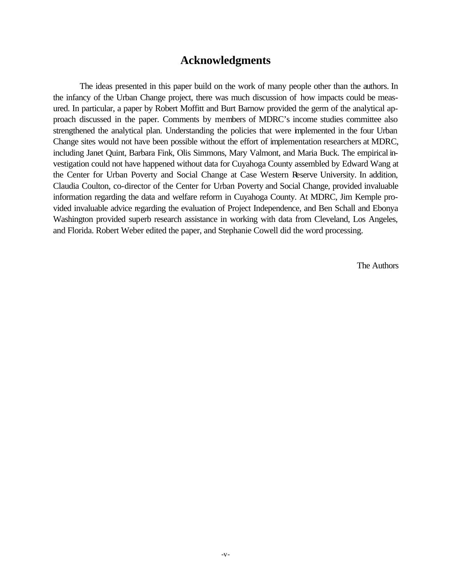### **Acknowledgments**

The ideas presented in this paper build on the work of many people other than the authors. In the infancy of the Urban Change project, there was much discussion of how impacts could be measured. In particular, a paper by Robert Moffitt and Burt Barnow provided the germ of the analytical approach discussed in the paper. Comments by members of MDRC's income studies committee also strengthened the analytical plan. Understanding the policies that were implemented in the four Urban Change sites would not have been possible without the effort of implementation researchers at MDRC, including Janet Quint, Barbara Fink, Olis Simmons, Mary Valmont, and Maria Buck. The empirical investigation could not have happened without data for Cuyahoga County assembled by Edward Wang at the Center for Urban Poverty and Social Change at Case Western Reserve University. In addition, Claudia Coulton, co-director of the Center for Urban Poverty and Social Change, provided invaluable information regarding the data and welfare reform in Cuyahoga County. At MDRC, Jim Kemple provided invaluable advice regarding the evaluation of Project Independence, and Ben Schall and Ebonya Washington provided superb research assistance in working with data from Cleveland, Los Angeles, and Florida. Robert Weber edited the paper, and Stephanie Cowell did the word processing.

The Authors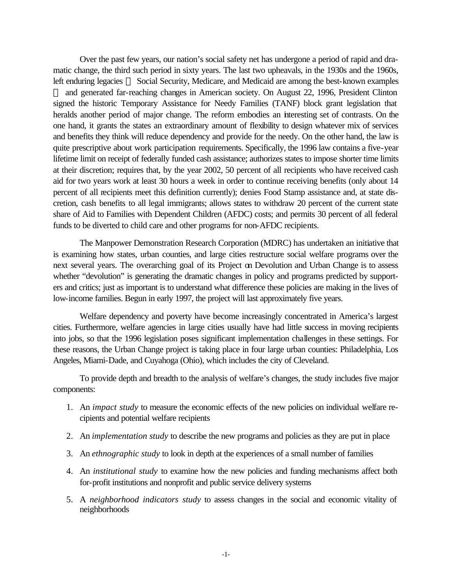Over the past few years, our nation's social safety net has undergone a period of rapid and dramatic change, the third such period in sixty years. The last two upheavals, in the 1930s and the 1960s, left enduring legacies — Social Security, Medicare, and Medicaid are among the best-known examples and generated far-reaching changes in American society. On August 22, 1996, President Clinton signed the historic Temporary Assistance for Needy Families (TANF) block grant legislation that heralds another period of major change. The reform embodies an interesting set of contrasts. On the one hand, it grants the states an extraordinary amount of flexibility to design whatever mix of services and benefits they think will reduce dependency and provide for the needy. On the other hand, the law is quite prescriptive about work participation requirements. Specifically, the 1996 law contains a five-year lifetime limit on receipt of federally funded cash assistance; authorizes states to impose shorter time limits at their discretion; requires that, by the year 2002, 50 percent of all recipients who have received cash aid for two years work at least 30 hours a week in order to continue receiving benefits (only about 14 percent of all recipients meet this definition currently); denies Food Stamp assistance and, at state discretion, cash benefits to all legal immigrants; allows states to withdraw 20 percent of the current state share of Aid to Families with Dependent Children (AFDC) costs; and permits 30 percent of all federal funds to be diverted to child care and other programs for non-AFDC recipients.

The Manpower Demonstration Research Corporation (MDRC) has undertaken an initiative that is examining how states, urban counties, and large cities restructure social welfare programs over the next several years. The overarching goal of its Project on Devolution and Urban Change is to assess whether "devolution" is generating the dramatic changes in policy and programs predicted by supporters and critics; just as important is to understand what difference these policies are making in the lives of low-income families. Begun in early 1997, the project will last approximately five years.

Welfare dependency and poverty have become increasingly concentrated in America's largest cities. Furthermore, welfare agencies in large cities usually have had little success in moving recipients into jobs, so that the 1996 legislation poses significant implementation challenges in these settings. For these reasons, the Urban Change project is taking place in four large urban counties: Philadelphia, Los Angeles, Miami-Dade, and Cuyahoga (Ohio), which includes the city of Cleveland.

To provide depth and breadth to the analysis of welfare's changes, the study includes five major components:

- 1. An *impact study* to measure the economic effects of the new policies on individual welfare recipients and potential welfare recipients
- 2. An *implementation study* to describe the new programs and policies as they are put in place
- 3. An *ethnographic study* to look in depth at the experiences of a small number of families
- 4. An *institutional study* to examine how the new policies and funding mechanisms affect both for-profit institutions and nonprofit and public service delivery systems
- 5. A *neighborhood indicators study* to assess changes in the social and economic vitality of neighborhoods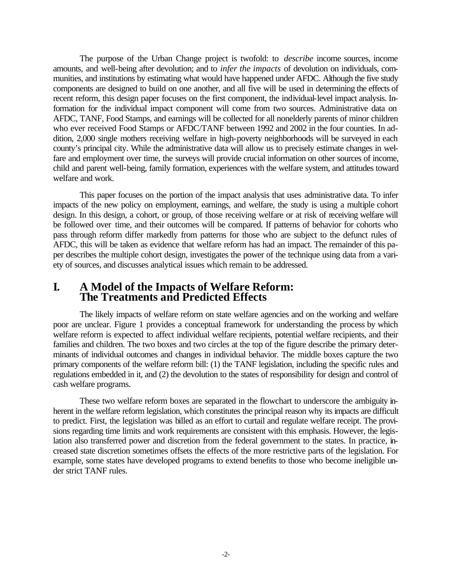The purpose of the Urban Change project is twofold: to *describe* income sources, income amounts, and well-being after devolution; and to *infer the impacts* of devolution on individuals, communities, and institutions by estimating what would have happened under AFDC. Although the five study components are designed to build on one another, and all five will be used in determining the effects of recent reform, this design paper focuses on the first component, the individual-level impact analysis. Information for the individual impact component will come from two sources. Administrative data on AFDC, TANF, Food Stamps, and earnings will be collected for all nonelderly parents of minor children who ever received Food Stamps or AFDC/TANF between 1992 and 2002 in the four counties. In addition, 2,000 single mothers receiving welfare in high-poverty neighborhoods will be surveyed in each county's principal city. While the administrative data will allow us to precisely estimate changes in welfare and employment over time, the surveys will provide crucial information on other sources of income, child and parent well-being, family formation, experiences with the welfare system, and attitudes toward welfare and work.

This paper focuses on the portion of the impact analysis that uses administrative data. To infer impacts of the new policy on employment, earnings, and welfare, the study is using a multiple cohort design. In this design, a cohort, or group, of those receiving welfare or at risk of receiving welfare will be followed over time, and their outcomes will be compared. If patterns of behavior for cohorts who pass through reform differ markedly from patterns for those who are subject to the defunct rules of AFDC, this will be taken as evidence that welfare reform has had an impact. The remainder of this paper describes the multiple cohort design, investigates the power of the technique using data from a variety of sources, and discusses analytical issues which remain to be addressed.

### **I. A Model of the Impacts of Welfare Reform: The Treatments and Predicted Effects**

The likely impacts of welfare reform on state welfare agencies and on the working and welfare poor are unclear. Figure 1 provides a conceptual framework for understanding the process by which welfare reform is expected to affect individual welfare recipients, potential welfare recipients, and their families and children. The two boxes and two circles at the top of the figure describe the primary determinants of individual outcomes and changes in individual behavior. The middle boxes capture the two primary components of the welfare reform bill: (1) the TANF legislation, including the specific rules and regulations embedded in it, and (2) the devolution to the states of responsibility for design and control of cash welfare programs.

These two welfare reform boxes are separated in the flowchart to underscore the ambiguity inherent in the welfare reform legislation, which constitutes the principal reason why its impacts are difficult to predict. First, the legislation was billed as an effort to curtail and regulate welfare receipt. The provisions regarding time limits and work requirements are consistent with this emphasis. However, the legislation also transferred power and discretion from the federal government to the states. In practice, increased state discretion sometimes offsets the effects of the more restrictive parts of the legislation. For example, some states have developed programs to extend benefits to those who become ineligible under strict TANF rules.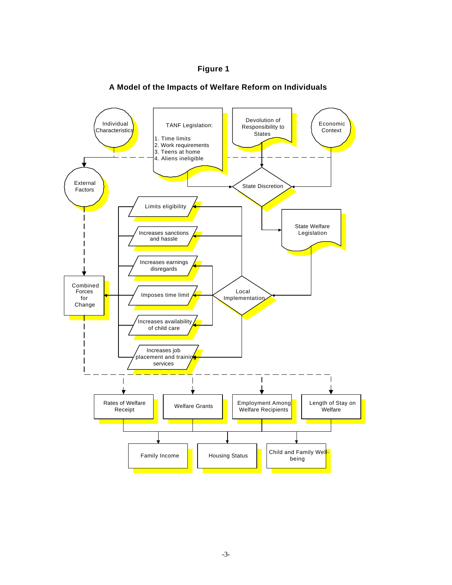

#### **A Model of the Impacts of Welfare Reform on Individuals**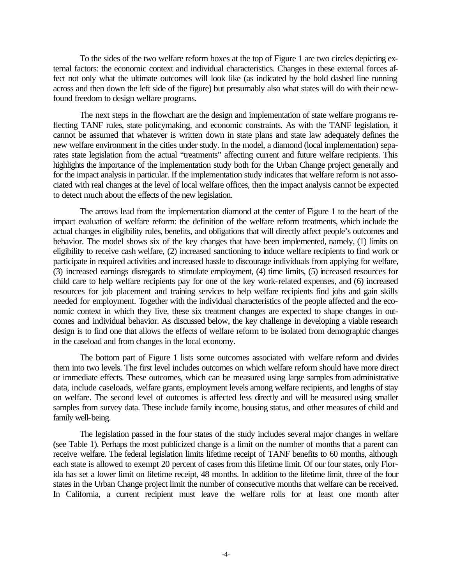To the sides of the two welfare reform boxes at the top of Figure 1 are two circles depicting external factors: the economic context and individual characteristics. Changes in these external forces affect not only what the ultimate outcomes will look like (as indicated by the bold dashed line running across and then down the left side of the figure) but presumably also what states will do with their newfound freedom to design welfare programs.

The next steps in the flowchart are the design and implementation of state welfare programs reflecting TANF rules, state policymaking, and economic constraints. As with the TANF legislation, it cannot be assumed that whatever is written down in state plans and state law adequately defines the new welfare environment in the cities under study. In the model, a diamond (local implementation) separates state legislation from the actual "treatments" affecting current and future welfare recipients. This highlights the importance of the implementation study both for the Urban Change project generally and for the impact analysis in particular. If the implementation study indicates that welfare reform is not associated with real changes at the level of local welfare offices, then the impact analysis cannot be expected to detect much about the effects of the new legislation.

The arrows lead from the implementation diamond at the center of Figure 1 to the heart of the impact evaluation of welfare reform: the definition of the welfare reform treatments, which include the actual changes in eligibility rules, benefits, and obligations that will directly affect people's outcomes and behavior. The model shows six of the key changes that have been implemented, namely, (1) limits on eligibility to receive cash welfare, (2) increased sanctioning to induce welfare recipients to find work or participate in required activities and increased hassle to discourage individuals from applying for welfare, (3) increased earnings disregards to stimulate employment, (4) time limits, (5) increased resources for child care to help welfare recipients pay for one of the key work-related expenses, and (6) increased resources for job placement and training services to help welfare recipients find jobs and gain skills needed for employment. Together with the individual characteristics of the people affected and the economic context in which they live, these six treatment changes are expected to shape changes in outcomes and individual behavior. As discussed below, the key challenge in developing a viable research design is to find one that allows the effects of welfare reform to be isolated from demographic changes in the caseload and from changes in the local economy.

The bottom part of Figure 1 lists some outcomes associated with welfare reform and divides them into two levels. The first level includes outcomes on which welfare reform should have more direct or immediate effects. These outcomes, which can be measured using large samples from administrative data, include caseloads, welfare grants, employment levels among welfare recipients, and lengths of stay on welfare. The second level of outcomes is affected less directly and will be measured using smaller samples from survey data. These include family income, housing status, and other measures of child and family well-being.

The legislation passed in the four states of the study includes several major changes in welfare (see Table 1). Perhaps the most publicized change is a limit on the number of months that a parent can receive welfare. The federal legislation limits lifetime receipt of TANF benefits to 60 months, although each state is allowed to exempt 20 percent of cases from this lifetime limit. Of our four states, only Florida has set a lower limit on lifetime receipt, 48 months. In addition to the lifetime limit, three of the four states in the Urban Change project limit the number of consecutive months that welfare can be received. In California, a current recipient must leave the welfare rolls for at least one month after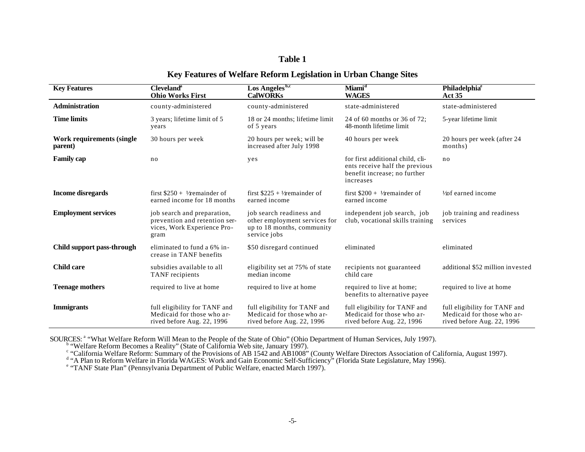#### **Table 1**

#### **Key Features of Welfare Reform Legislation in Urban Change Sites**

| <b>Key Features</b>                  | <b>Cleveland</b> <sup>a</sup><br><b>Ohio Works First</b>                                            | $\overline{\text{Los Angeles}^{\text{b,c}} }$<br><b>CalWORKs</b>                                        | Miami <sup>d</sup><br><b>WAGES</b>                                                                              | <b>Philadelphia®</b><br><b>Act 35</b>                                                     |
|--------------------------------------|-----------------------------------------------------------------------------------------------------|---------------------------------------------------------------------------------------------------------|-----------------------------------------------------------------------------------------------------------------|-------------------------------------------------------------------------------------------|
| <b>Administration</b>                | county-administered                                                                                 | county-administered                                                                                     | state-administered                                                                                              | state-administered                                                                        |
| <b>Time limits</b>                   | 3 years; lifetime limit of 5<br>years                                                               | 18 or 24 months; lifetime limit<br>of 5 years                                                           | 24 of 60 months or 36 of 72;<br>48-month lifetime limit                                                         | 5-year lifetime limit                                                                     |
| Work requirements (single<br>parent) | 30 hours per week                                                                                   | 20 hours per week; will be<br>increased after July 1998                                                 | 40 hours per week                                                                                               | 20 hours per week (after 24<br>months)                                                    |
| <b>Family cap</b>                    | no                                                                                                  | yes                                                                                                     | for first additional child, cli-<br>ents receive half the previous<br>benefit increase; no further<br>increases | no                                                                                        |
| <b>Income disregards</b>             | first $\$250 + \frac{1}{2}$ remainder of<br>earned income for 18 months                             | first $$225 + ½$ remainder of<br>earned income                                                          | first $\$200 + \frac{1}{2}$ remainder of<br>earned income                                                       | $\frac{1}{2}$ carned income                                                               |
| <b>Employment services</b>           | job search and preparation,<br>prevention and retention ser-<br>vices, Work Experience Pro-<br>gram | job search readiness and<br>other employment services for<br>up to 18 months, community<br>service jobs | independent job search, job<br>club, vocational skills training                                                 | job training and readiness<br>services                                                    |
| Child support pass-through           | eliminated to fund a 6% in-<br>crease in TANF benefits                                              | \$50 disregard continued                                                                                | eliminated                                                                                                      | eliminated                                                                                |
| <b>Child care</b>                    | subsidies available to all<br><b>TANF</b> recipients                                                | eligibility set at 75% of state<br>median income                                                        | recipients not guaranteed<br>child care                                                                         | additional \$52 million invested                                                          |
| <b>Teenage mothers</b>               | required to live at home                                                                            | required to live at home                                                                                | required to live at home;<br>benefits to alternative payee                                                      | required to live at home                                                                  |
| <b>Immigrants</b>                    | full eligibility for TANF and<br>Medicaid for those who ar-<br>rived before Aug. 22, 1996           | full eligibility for TANF and<br>Medicaid for those who ar-<br>rived before Aug. 22, 1996               | full eligibility for TANF and<br>Medicaid for those who ar-<br>rived before Aug. 22, 1996                       | full eligibility for TANF and<br>Medicaid for those who ar-<br>rived before Aug. 22, 1996 |

SOURCES: <sup>a</sup> "What Welfare Reform Will Mean to the People of the State of Ohio" (Ohio Department of Human Services, July 1997).<br>
b "Welfare Reform Becomes a Reality" (State of California Web site, January 1997).<br>
c "Califo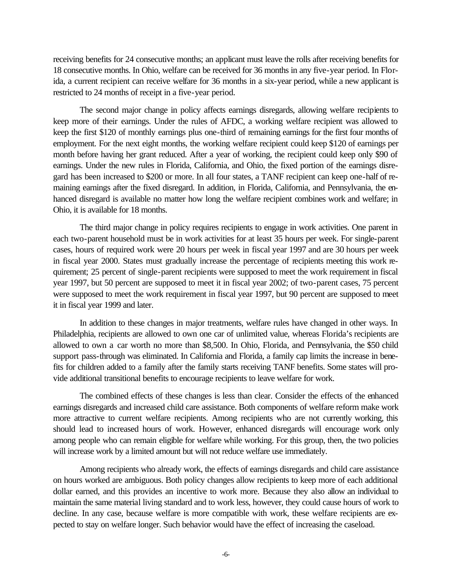receiving benefits for 24 consecutive months; an applicant must leave the rolls after receiving benefits for 18 consecutive months. In Ohio, welfare can be received for 36 months in any five-year period. In Florida, a current recipient can receive welfare for 36 months in a six-year period, while a new applicant is restricted to 24 months of receipt in a five-year period.

The second major change in policy affects earnings disregards, allowing welfare recipients to keep more of their earnings. Under the rules of AFDC, a working welfare recipient was allowed to keep the first \$120 of monthly earnings plus one-third of remaining earnings for the first four months of employment. For the next eight months, the working welfare recipient could keep \$120 of earnings per month before having her grant reduced. After a year of working, the recipient could keep only \$90 of earnings. Under the new rules in Florida, California, and Ohio, the fixed portion of the earnings disregard has been increased to \$200 or more. In all four states, a TANF recipient can keep one-half of remaining earnings after the fixed disregard. In addition, in Florida, California, and Pennsylvania, the enhanced disregard is available no matter how long the welfare recipient combines work and welfare; in Ohio, it is available for 18 months.

The third major change in policy requires recipients to engage in work activities. One parent in each two-parent household must be in work activities for at least 35 hours per week. For single-parent cases, hours of required work were 20 hours per week in fiscal year 1997 and are 30 hours per week in fiscal year 2000. States must gradually increase the percentage of recipients meeting this work requirement; 25 percent of single-parent recipients were supposed to meet the work requirement in fiscal year 1997, but 50 percent are supposed to meet it in fiscal year 2002; of two-parent cases, 75 percent were supposed to meet the work requirement in fiscal year 1997, but 90 percent are supposed to meet it in fiscal year 1999 and later.

In addition to these changes in major treatments, welfare rules have changed in other ways. In Philadelphia, recipients are allowed to own one car of unlimited value, whereas Florida's recipients are allowed to own a car worth no more than \$8,500. In Ohio, Florida, and Pennsylvania, the \$50 child support pass-through was eliminated. In California and Florida, a family cap limits the increase in benefits for children added to a family after the family starts receiving TANF benefits. Some states will provide additional transitional benefits to encourage recipients to leave welfare for work.

The combined effects of these changes is less than clear. Consider the effects of the enhanced earnings disregards and increased child care assistance. Both components of welfare reform make work more attractive to current welfare recipients. Among recipients who are not currently working, this should lead to increased hours of work. However, enhanced disregards will encourage work only among people who can remain eligible for welfare while working. For this group, then, the two policies will increase work by a limited amount but will not reduce welfare use immediately.

Among recipients who already work, the effects of earnings disregards and child care assistance on hours worked are ambiguous. Both policy changes allow recipients to keep more of each additional dollar earned, and this provides an incentive to work more. Because they also allow an individual to maintain the same material living standard and to work less, however, they could cause hours of work to decline. In any case, because welfare is more compatible with work, these welfare recipients are expected to stay on welfare longer. Such behavior would have the effect of increasing the caseload.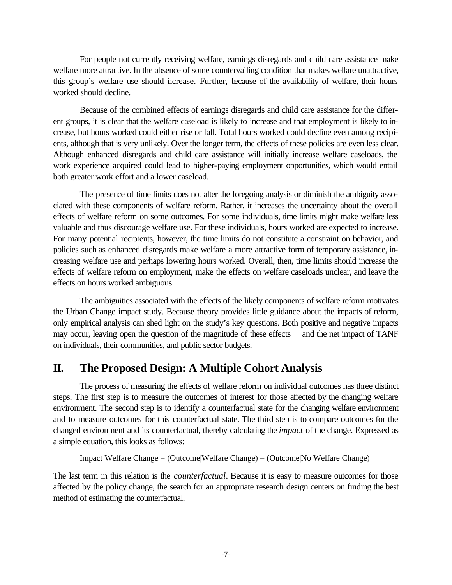For people not currently receiving welfare, earnings disregards and child care assistance make welfare more attractive. In the absence of some countervailing condition that makes welfare unattractive, this group's welfare use should increase. Further, because of the availability of welfare, their hours worked should decline.

Because of the combined effects of earnings disregards and child care assistance for the different groups, it is clear that the welfare caseload is likely to increase and that employment is likely to increase, but hours worked could either rise or fall. Total hours worked could decline even among recipients, although that is very unlikely. Over the longer term, the effects of these policies are even less clear. Although enhanced disregards and child care assistance will initially increase welfare caseloads, the work experience acquired could lead to higher-paying employment opportunities, which would entail both greater work effort and a lower caseload.

The presence of time limits does not alter the foregoing analysis or diminish the ambiguity associated with these components of welfare reform. Rather, it increases the uncertainty about the overall effects of welfare reform on some outcomes. For some individuals, time limits might make welfare less valuable and thus discourage welfare use. For these individuals, hours worked are expected to increase. For many potential recipients, however, the time limits do not constitute a constraint on behavior, and policies such as enhanced disregards make welfare a more attractive form of temporary assistance, increasing welfare use and perhaps lowering hours worked. Overall, then, time limits should increase the effects of welfare reform on employment, make the effects on welfare caseloads unclear, and leave the effects on hours worked ambiguous.

The ambiguities associated with the effects of the likely components of welfare reform motivates the Urban Change impact study. Because theory provides little guidance about the impacts of reform, only empirical analysis can shed light on the study's key questions. Both positive and negative impacts may occur, leaving open the question of the magnitude of these effects and the net impact of TANF on individuals, their communities, and public sector budgets.

## **II. The Proposed Design: A Multiple Cohort Analysis**

The process of measuring the effects of welfare reform on individual outcomes has three distinct steps. The first step is to measure the outcomes of interest for those affected by the changing welfare environment. The second step is to identify a counterfactual state for the changing welfare environment and to measure outcomes for this counterfactual state. The third step is to compare outcomes for the changed environment and its counterfactual, thereby calculating the *impact* of the change. Expressed as a simple equation, this looks as follows:

Impact Welfare Change = (Outcome|Welfare Change) – (Outcome|No Welfare Change)

The last term in this relation is the *counterfactual*. Because it is easy to measure outcomes for those affected by the policy change, the search for an appropriate research design centers on finding the best method of estimating the counterfactual.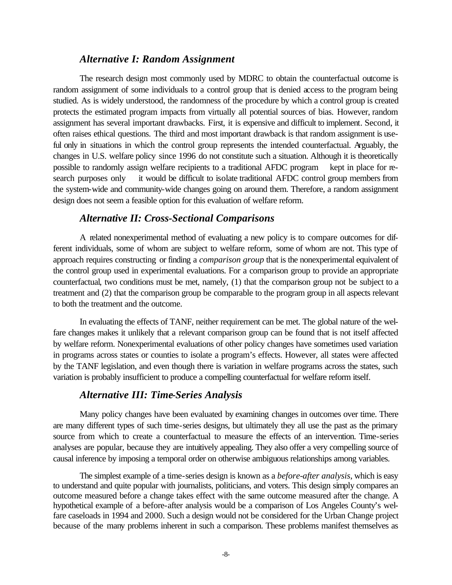#### *Alternative I: Random Assignment*

The research design most commonly used by MDRC to obtain the counterfactual outcome is random assignment of some individuals to a control group that is denied access to the program being studied. As is widely understood, the randomness of the procedure by which a control group is created protects the estimated program impacts from virtually all potential sources of bias. However, random assignment has several important drawbacks. First, it is expensive and difficult to implement. Second, it often raises ethical questions. The third and most important drawback is that random assignment is useful only in situations in which the control group represents the intended counterfactual. Arguably, the changes in U.S. welfare policy since 1996 do not constitute such a situation. Although it is theoretically possible to randomly assign welfare recipients to a traditional AFDC program kept in place for research purposes only it would be difficult to isolate traditional AFDC control group members from the system-wide and community-wide changes going on around them. Therefore, a random assignment design does not seem a feasible option for this evaluation of welfare reform.

#### *Alternative II: Cross-Sectional Comparisons*

A related nonexperimental method of evaluating a new policy is to compare outcomes for different individuals, some of whom are subject to welfare reform, some of whom are not. This type of approach requires constructing or finding a *comparison group* that is the nonexperimental equivalent of the control group used in experimental evaluations. For a comparison group to provide an appropriate counterfactual, two conditions must be met, namely, (1) that the comparison group not be subject to a treatment and (2) that the comparison group be comparable to the program group in all aspects relevant to both the treatment and the outcome.

In evaluating the effects of TANF, neither requirement can be met. The global nature of the welfare changes makes it unlikely that a relevant comparison group can be found that is not itself affected by welfare reform. Nonexperimental evaluations of other policy changes have sometimes used variation in programs across states or counties to isolate a program's effects. However, all states were affected by the TANF legislation, and even though there is variation in welfare programs across the states, such variation is probably insufficient to produce a compelling counterfactual for welfare reform itself.

#### *Alternative III: Time-Series Analysis*

Many policy changes have been evaluated by examining changes in outcomes over time. There are many different types of such time-series designs, but ultimately they all use the past as the primary source from which to create a counterfactual to measure the effects of an intervention. Time-series analyses are popular, because they are intuitively appealing. They also offer a very compelling source of causal inference by imposing a temporal order on otherwise ambiguous relationships among variables.

The simplest example of a time-series design is known as a *before-after analysis*, which is easy to understand and quite popular with journalists, politicians, and voters. This design simply compares an outcome measured before a change takes effect with the same outcome measured after the change. A hypothetical example of a before-after analysis would be a comparison of Los Angeles County's welfare caseloads in 1994 and 2000. Such a design would not be considered for the Urban Change project because of the many problems inherent in such a comparison. These problems manifest themselves as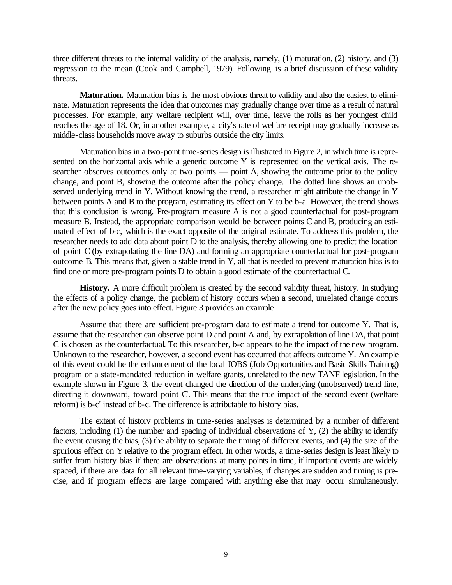three different threats to the internal validity of the analysis, namely, (1) maturation, (2) history, and (3) regression to the mean (Cook and Campbell, 1979). Following is a brief discussion of these validity threats.

**Maturation.** Maturation bias is the most obvious threat to validity and also the easiest to eliminate. Maturation represents the idea that outcomes may gradually change over time as a result of natural processes. For example, any welfare recipient will, over time, leave the rolls as her youngest child reaches the age of 18. Or, in another example, a city's rate of welfare receipt may gradually increase as middle-class households move away to suburbs outside the city limits.

Maturation bias in a two-point time-series design is illustrated in Figure 2, in which time is represented on the horizontal axis while a generic outcome Y is represented on the vertical axis. The researcher observes outcomes only at two points — point A, showing the outcome prior to the policy change, and point B, showing the outcome after the policy change. The dotted line shows an unobserved underlying trend in Y. Without knowing the trend, a researcher might attribute the change in Y between points A and B to the program, estimating its effect on Y to be b-a*.* However, the trend shows that this conclusion is wrong. Pre-program measure A is not a good counterfactual for post-program measure B. Instead, the appropriate comparison would be between points C and B, producing an estimated effect of b-c, which is the exact opposite of the original estimate. To address this problem, the researcher needs to add data about point D to the analysis, thereby allowing one to predict the location of point C (by extrapolating the line DA) and forming an appropriate counterfactual for post-program outcome B*.* This means that, given a stable trend in Y, all that is needed to prevent maturation bias is to find one or more pre-program points D to obtain a good estimate of the counterfactual C*.*

**History.** A more difficult problem is created by the second validity threat, history. In studying the effects of a policy change, the problem of history occurs when a second, unrelated change occurs after the new policy goes into effect. Figure 3 provides an example.

Assume that there are sufficient pre-program data to estimate a trend for outcome Y. That is, assume that the researcher can observe point D and point A and, by extrapolation of line DA, that point C is chosen as the counterfactual. To this researcher, b-c appears to be the impact of the new program. Unknown to the researcher, however, a second event has occurred that affects outcome Y. An example of this event could be the enhancement of the local JOBS (Job Opportunities and Basic Skills Training) program or a state-mandated reduction in welfare grants, unrelated to the new TANF legislation. In the example shown in Figure 3, the event changed the direction of the underlying (unobserved) trend line, directing it downward, toward point C. This means that the true impact of the second event (welfare reform) is b-c' instead of b-c. The difference is attributable to history bias.

The extent of history problems in time-series analyses is determined by a number of different factors, including (1) the number and spacing of individual observations of Y, (2) the ability to identify the event causing the bias, (3) the ability to separate the timing of different events, and (4) the size of the spurious effect on Y relative to the program effect. In other words, a time-series design is least likely to suffer from history bias if there are observations at many points in time, if important events are widely spaced, if there are data for all relevant time-varying variables, if changes are sudden and timing is precise, and if program effects are large compared with anything else that may occur simultaneously.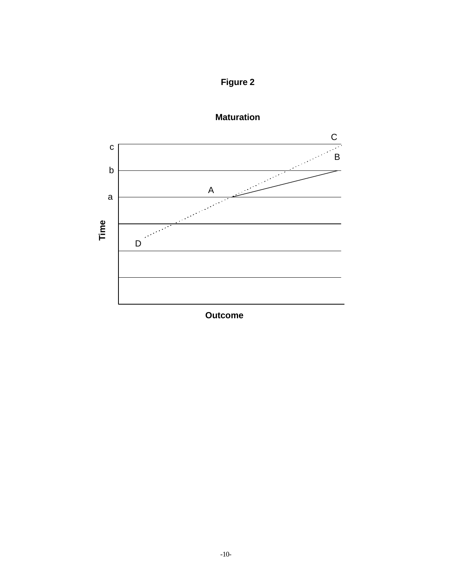





**Outcome**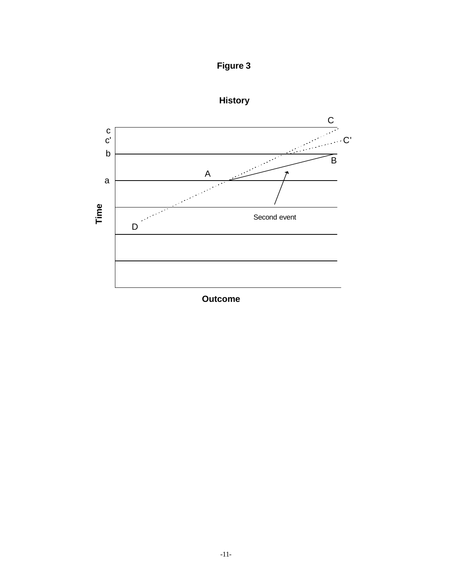



**History**

**Outcome**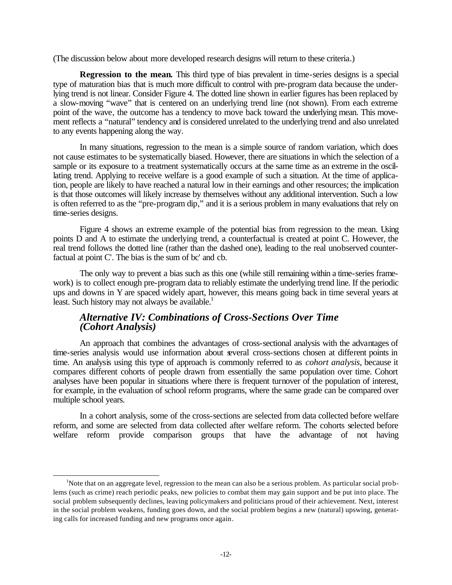(The discussion below about more developed research designs will return to these criteria.)

**Regression to the mean.** This third type of bias prevalent in time-series designs is a special type of maturation bias that is much more difficult to control with pre-program data because the underlying trend is not linear. Consider Figure 4. The dotted line shown in earlier figures has been replaced by a slow-moving "wave" that is centered on an underlying trend line (not shown). From each extreme point of the wave, the outcome has a tendency to move back toward the underlying mean. This movement reflects a "natural" tendency and is considered unrelated to the underlying trend and also unrelated to any events happening along the way.

In many situations, regression to the mean is a simple source of random variation, which does not cause estimates to be systematically biased. However, there are situations in which the selection of a sample or its exposure to a treatment systematically occurs at the same time as an extreme in the oscillating trend. Applying to receive welfare is a good example of such a situation. At the time of application, people are likely to have reached a natural low in their earnings and other resources; the implication is that those outcomes will likely increase by themselves without any additional intervention. Such a low is often referred to as the "pre-program dip," and it is a serious problem in many evaluations that rely on time-series designs.

Figure 4 shows an extreme example of the potential bias from regression to the mean. Using points D and A to estimate the underlying trend, a counterfactual is created at point C. However, the real trend follows the dotted line (rather than the dashed one), leading to the real unobserved counterfactual at point C'. The bias is the sum of bc' and cb*.* 

The only way to prevent a bias such as this one (while still remaining within a time-series framework) is to collect enough pre-program data to reliably estimate the underlying trend line. If the periodic ups and downs in Y are spaced widely apart, however, this means going back in time several years at least. Such history may not always be available. $<sup>1</sup>$ </sup>

#### *Alternative IV: Combinations of Cross-Sections Over Time (Cohort Analysis)*

An approach that combines the advantages of cross-sectional analysis with the advantages of time-series analysis would use information about several cross-sections chosen at different points in time. An analysis using this type of approach is commonly referred to as *cohort analysis*, because it compares different cohorts of people drawn from essentially the same population over time. Cohort analyses have been popular in situations where there is frequent turnover of the population of interest, for example, in the evaluation of school reform programs, where the same grade can be compared over multiple school years.

In a cohort analysis, some of the cross-sections are selected from data collected before welfare reform, and some are selected from data collected after welfare reform. The cohorts selected before welfare reform provide comparison groups that have the advantage of not having

l

<sup>&</sup>lt;sup>1</sup>Note that on an aggregate level, regression to the mean can also be a serious problem. As particular social problems (such as crime) reach periodic peaks, new policies to combat them may gain support and be put into place. The social problem subsequently declines, leaving policymakers and politicians proud of their achievement. Next, interest in the social problem weakens, funding goes down, and the social problem begins a new (natural) upswing, generating calls for increased funding and new programs once again.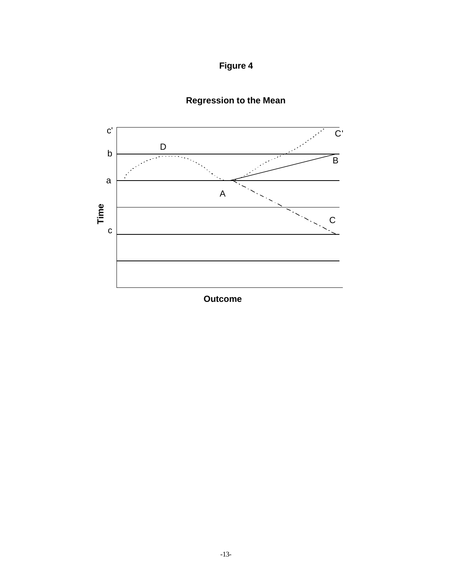



# **Regression to the Mean**

**Outcome**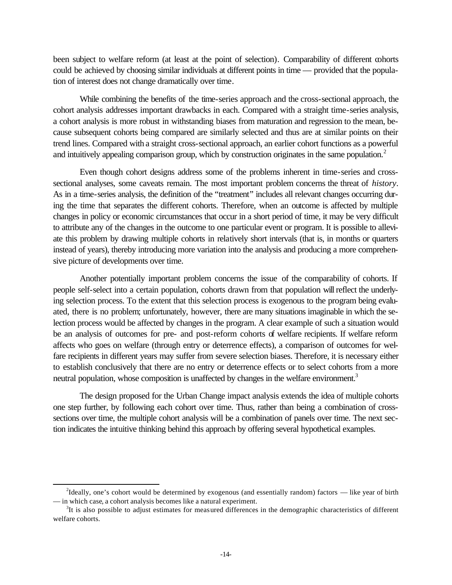been subject to welfare reform (at least at the point of selection). Comparability of different cohorts could be achieved by choosing similar individuals at different points in time — provided that the population of interest does not change dramatically over time.

While combining the benefits of the time-series approach and the cross-sectional approach, the cohort analysis addresses important drawbacks in each. Compared with a straight time-series analysis, a cohort analysis is more robust in withstanding biases from maturation and regression to the mean, because subsequent cohorts being compared are similarly selected and thus are at similar points on their trend lines. Compared with a straight cross-sectional approach, an earlier cohort functions as a powerful and intuitively appealing comparison group, which by construction originates in the same population.<sup>2</sup>

Even though cohort designs address some of the problems inherent in time-series and crosssectional analyses, some caveats remain. The most important problem concerns the threat of *history*. As in a time-series analysis, the definition of the "treatment" includes all relevant changes occurring during the time that separates the different cohorts. Therefore, when an outcome is affected by multiple changes in policy or economic circumstances that occur in a short period of time, it may be very difficult to attribute any of the changes in the outcome to one particular event or program. It is possible to alleviate this problem by drawing multiple cohorts in relatively short intervals (that is, in months or quarters instead of years), thereby introducing more variation into the analysis and producing a more comprehensive picture of developments over time.

Another potentially important problem concerns the issue of the comparability of cohorts. If people self-select into a certain population, cohorts drawn from that population will reflect the underlying selection process. To the extent that this selection process is exogenous to the program being evaluated, there is no problem; unfortunately, however, there are many situations imaginable in which the selection process would be affected by changes in the program. A clear example of such a situation would be an analysis of outcomes for pre- and post-reform cohorts of welfare recipients. If welfare reform affects who goes on welfare (through entry or deterrence effects), a comparison of outcomes for welfare recipients in different years may suffer from severe selection biases. Therefore, it is necessary either to establish conclusively that there are no entry or deterrence effects or to select cohorts from a more neutral population, whose composition is unaffected by changes in the welfare environment.<sup>3</sup>

The design proposed for the Urban Change impact analysis extends the idea of multiple cohorts one step further, by following each cohort over time. Thus, rather than being a combination of crosssections over time, the multiple cohort analysis will be a combination of panels over time. The next section indicates the intuitive thinking behind this approach by offering several hypothetical examples.

l

 $^{2}$ Ideally, one's cohort would be determined by exogenous (and essentially random) factors — like year of birth — in which case, a cohort analysis becomes like a natural experiment.

 $3$ It is also possible to adjust estimates for measured differences in the demographic characteristics of different welfare cohorts.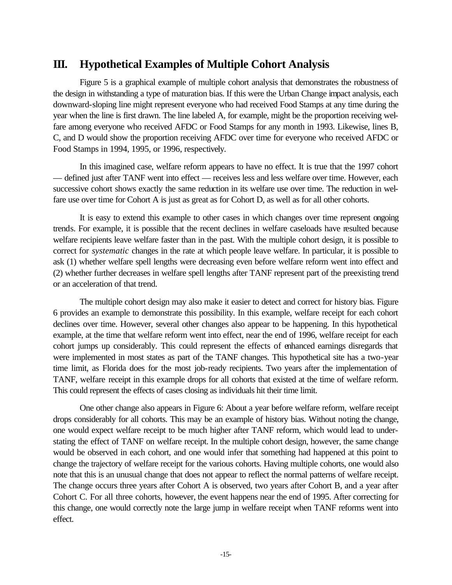# **III. Hypothetical Examples of Multiple Cohort Analysis**

Figure 5 is a graphical example of multiple cohort analysis that demonstrates the robustness of the design in withstanding a type of maturation bias. If this were the Urban Change impact analysis, each downward-sloping line might represent everyone who had received Food Stamps at any time during the year when the line is first drawn. The line labeled A, for example, might be the proportion receiving welfare among everyone who received AFDC or Food Stamps for any month in 1993. Likewise, lines B, C, and D would show the proportion receiving AFDC over time for everyone who received AFDC or Food Stamps in 1994, 1995, or 1996, respectively.

In this imagined case, welfare reform appears to have no effect. It is true that the 1997 cohort — defined just after TANF went into effect — receives less and less welfare over time. However, each successive cohort shows exactly the same reduction in its welfare use over time. The reduction in welfare use over time for Cohort A is just as great as for Cohort D, as well as for all other cohorts.

It is easy to extend this example to other cases in which changes over time represent ongoing trends. For example, it is possible that the recent declines in welfare caseloads have resulted because welfare recipients leave welfare faster than in the past. With the multiple cohort design, it is possible to correct for *systematic* changes in the rate at which people leave welfare. In particular, it is possible to ask (1) whether welfare spell lengths were decreasing even before welfare reform went into effect and (2) whether further decreases in welfare spell lengths after TANF represent part of the preexisting trend or an acceleration of that trend.

The multiple cohort design may also make it easier to detect and correct for history bias. Figure 6 provides an example to demonstrate this possibility. In this example, welfare receipt for each cohort declines over time. However, several other changes also appear to be happening. In this hypothetical example, at the time that welfare reform went into effect, near the end of 1996, welfare receipt for each cohort jumps up considerably. This could represent the effects of enhanced earnings disregards that were implemented in most states as part of the TANF changes. This hypothetical site has a two-year time limit, as Florida does for the most job-ready recipients. Two years after the implementation of TANF, welfare receipt in this example drops for all cohorts that existed at the time of welfare reform. This could represent the effects of cases closing as individuals hit their time limit.

One other change also appears in Figure 6: About a year before welfare reform, welfare receipt drops considerably for all cohorts. This may be an example of history bias. Without noting the change, one would expect welfare receipt to be much higher after TANF reform, which would lead to understating the effect of TANF on welfare receipt. In the multiple cohort design, however, the same change would be observed in each cohort, and one would infer that something had happened at this point to change the trajectory of welfare receipt for the various cohorts. Having multiple cohorts, one would also note that this is an unusual change that does not appear to reflect the normal patterns of welfare receipt. The change occurs three years after Cohort A is observed, two years after Cohort B, and a year after Cohort C. For all three cohorts, however, the event happens near the end of 1995. After correcting for this change, one would correctly note the large jump in welfare receipt when TANF reforms went into effect.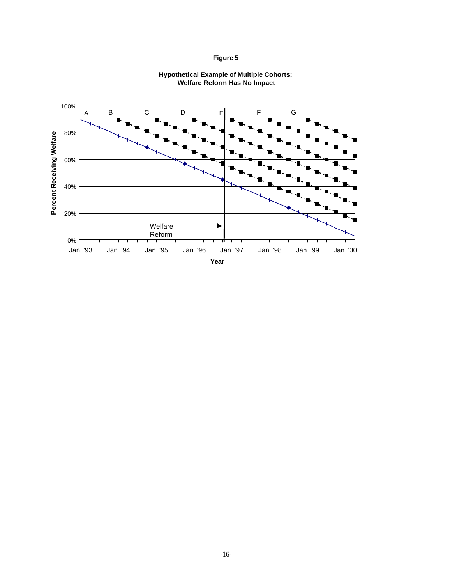



#### **Hypothetical Example of Multiple Cohorts: Welfare Reform Has No Impact**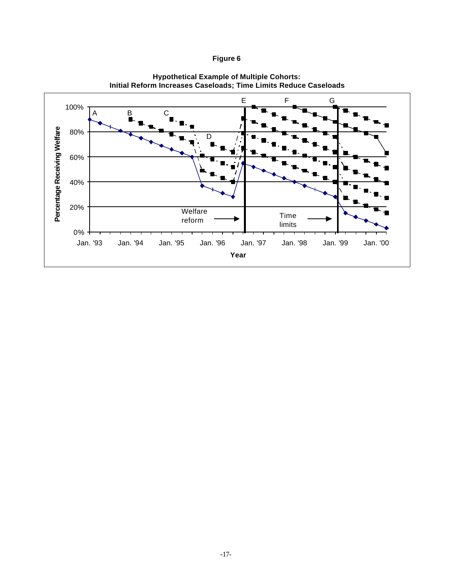

**Hypothetical Example of Multiple Cohorts: Initial Reform Increases Caseloads; Time Limits Reduce Caseloads**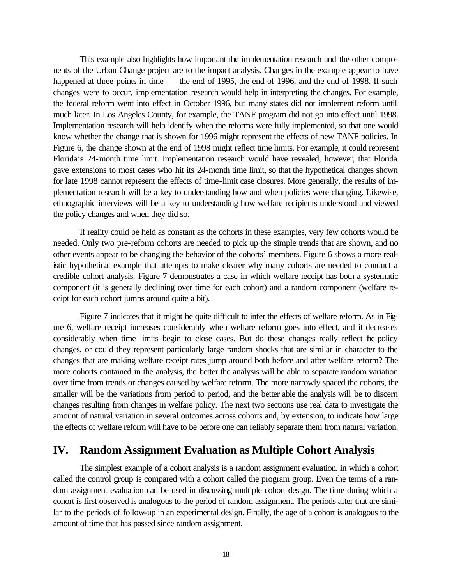This example also highlights how important the implementation research and the other components of the Urban Change project are to the impact analysis. Changes in the example appear to have happened at three points in time — the end of 1995, the end of 1996, and the end of 1998. If such changes were to occur, implementation research would help in interpreting the changes. For example, the federal reform went into effect in October 1996, but many states did not implement reform until much later. In Los Angeles County, for example, the TANF program did not go into effect until 1998. Implementation research will help identify when the reforms were fully implemented, so that one would know whether the change that is shown for 1996 might represent the effects of new TANF policies. In Figure 6, the change shown at the end of 1998 might reflect time limits. For example, it could represent Florida's 24-month time limit. Implementation research would have revealed, however, that Florida gave extensions to most cases who hit its 24-month time limit, so that the hypothetical changes shown for late 1998 cannot represent the effects of time-limit case closures. More generally, the results of implementation research will be a key to understanding how and when policies were changing. Likewise, ethnographic interviews will be a key to understanding how welfare recipients understood and viewed the policy changes and when they did so.

If reality could be held as constant as the cohorts in these examples, very few cohorts would be needed. Only two pre-reform cohorts are needed to pick up the simple trends that are shown, and no other events appear to be changing the behavior of the cohorts' members. Figure 6 shows a more realistic hypothetical example that attempts to make clearer why many cohorts are needed to conduct a credible cohort analysis. Figure 7 demonstrates a case in which welfare receipt has both a systematic component (it is generally declining over time for each cohort) and a random component (welfare receipt for each cohort jumps around quite a bit).

Figure 7 indicates that it might be quite difficult to infer the effects of welfare reform. As in Figure 6, welfare receipt increases considerably when welfare reform goes into effect, and it decreases considerably when time limits begin to close cases. But do these changes really reflect the policy changes, or could they represent particularly large random shocks that are similar in character to the changes that are making welfare receipt rates jump around both before and after welfare reform? The more cohorts contained in the analysis, the better the analysis will be able to separate random variation over time from trends or changes caused by welfare reform. The more narrowly spaced the cohorts, the smaller will be the variations from period to period, and the better able the analysis will be to discern changes resulting from changes in welfare policy. The next two sections use real data to investigate the amount of natural variation in several outcomes across cohorts and, by extension, to indicate how large the effects of welfare reform will have to be before one can reliably separate them from natural variation.

## **IV. Random Assignment Evaluation as Multiple Cohort Analysis**

The simplest example of a cohort analysis is a random assignment evaluation, in which a cohort called the control group is compared with a cohort called the program group. Even the terms of a random assignment evaluation can be used in discussing multiple cohort design. The time during which a cohort is first observed is analogous to the period of random assignment. The periods after that are similar to the periods of follow-up in an experimental design. Finally, the age of a cohort is analogous to the amount of time that has passed since random assignment.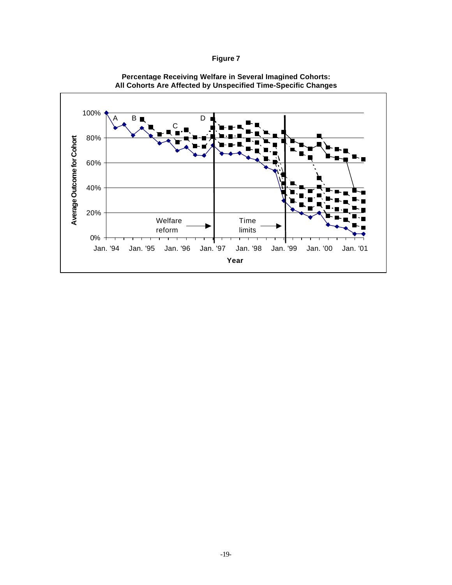| n<br>Ш |  |
|--------|--|
|--------|--|



#### **Percentage Receiving Welfare in Several Imagined Cohorts: All Cohorts Are Affected by Unspecified Time-Specific Changes**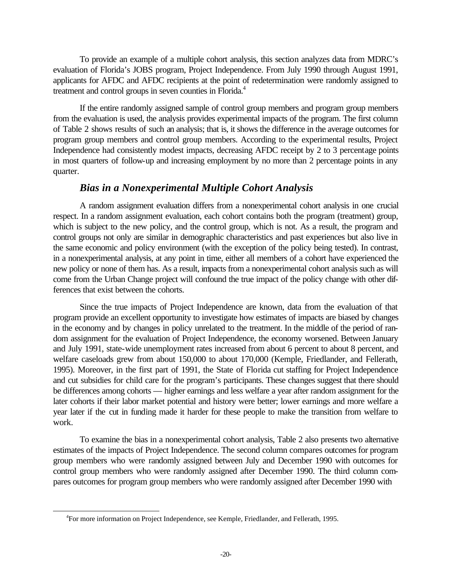To provide an example of a multiple cohort analysis, this section analyzes data from MDRC's evaluation of Florida's JOBS program, Project Independence. From July 1990 through August 1991, applicants for AFDC and AFDC recipients at the point of redetermination were randomly assigned to treatment and control groups in seven counties in Florida.<sup>4</sup>

If the entire randomly assigned sample of control group members and program group members from the evaluation is used, the analysis provides experimental impacts of the program. The first column of Table 2 shows results of such an analysis; that is, it shows the difference in the average outcomes for program group members and control group members. According to the experimental results, Project Independence had consistently modest impacts, decreasing AFDC receipt by 2 to 3 percentage points in most quarters of follow-up and increasing employment by no more than 2 percentage points in any quarter.

#### *Bias in a Nonexperimental Multiple Cohort Analysis*

A random assignment evaluation differs from a nonexperimental cohort analysis in one crucial respect. In a random assignment evaluation, each cohort contains both the program (treatment) group, which is subject to the new policy, and the control group, which is not. As a result, the program and control groups not only are similar in demographic characteristics and past experiences but also live in the same economic and policy environment (with the exception of the policy being tested). In contrast, in a nonexperimental analysis, at any point in time, either all members of a cohort have experienced the new policy or none of them has. As a result, impacts from a nonexperimental cohort analysis such as will come from the Urban Change project will confound the true impact of the policy change with other differences that exist between the cohorts.

Since the true impacts of Project Independence are known, data from the evaluation of that program provide an excellent opportunity to investigate how estimates of impacts are biased by changes in the economy and by changes in policy unrelated to the treatment. In the middle of the period of random assignment for the evaluation of Project Independence, the economy worsened. Between January and July 1991, state-wide unemployment rates increased from about 6 percent to about 8 percent, and welfare caseloads grew from about 150,000 to about 170,000 (Kemple, Friedlander, and Fellerath, 1995). Moreover, in the first part of 1991, the State of Florida cut staffing for Project Independence and cut subsidies for child care for the program's participants. These changes suggest that there should be differences among cohorts — higher earnings and less welfare a year after random assignment for the later cohorts if their labor market potential and history were better; lower earnings and more welfare a year later if the cut in funding made it harder for these people to make the transition from welfare to work.

To examine the bias in a nonexperimental cohort analysis, Table 2 also presents two alternative estimates of the impacts of Project Independence. The second column compares outcomes for program group members who were randomly assigned between July and December 1990 with outcomes for control group members who were randomly assigned after December 1990. The third column compares outcomes for program group members who were randomly assigned after December 1990 with

l

<sup>4</sup> For more information on Project Independence, see Kemple, Friedlander, and Fellerath, 1995.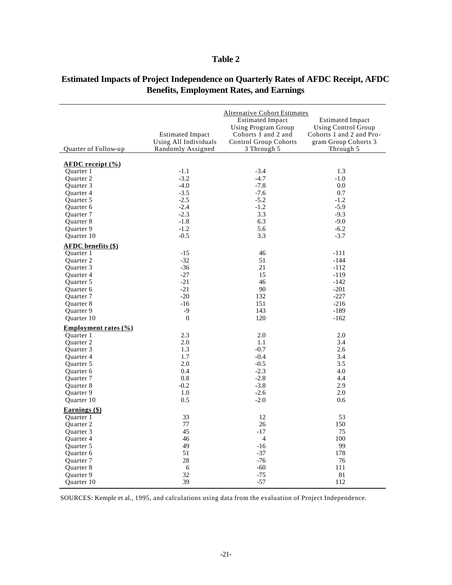#### **Table 2**

|                                                    |                         | <b>Alternative Cohort Estimates</b> |                            |
|----------------------------------------------------|-------------------------|-------------------------------------|----------------------------|
|                                                    |                         | <b>Estimated Impact</b>             | <b>Estimated Impact</b>    |
|                                                    |                         | <b>Using Program Group</b>          | <b>Using Control Group</b> |
|                                                    | <b>Estimated Impact</b> | Cohorts 1 and 2 and                 | Cohorts 1 and 2 and Pro-   |
|                                                    | Using All Individuals   | <b>Control Group Cohorts</b>        | gram Group Cohorts 3       |
| Quarter of Follow-up                               | Randomly Assigned       | 3 Through 5                         | Through 5                  |
| $\triangle FDC$ receipt $\left(\frac{9}{6}\right)$ |                         |                                     |                            |
| Quarter 1                                          | $-1.1$                  | $-3.4$                              | 1.3                        |
| Quarter 2                                          | $-3.2$                  | $-4.7$                              | $-1.0$                     |
| Quarter 3                                          | $-4.0$                  | $-7.8$                              | 0.0                        |
| Quarter 4                                          | $-3.5$                  | $-7.6$                              | 0.7                        |
| Quarter 5                                          | $-2.5$                  | $-5.2$                              | $-1.2$                     |
| Quarter 6                                          | $-2.4$                  | $-1.2$                              | $-5.9$                     |
| Quarter 7                                          | $-2.3$                  | 3.3                                 | $-9.3$                     |
| Quarter 8                                          | $-1.8$                  | 6.3                                 | $-9.0$                     |
| Quarter 9                                          | $-1.2$                  | 5.6                                 | $-6.2$                     |
| Quarter 10                                         | $-0.5$                  | 3.3                                 | $-3.7$                     |
| <b>AFDC</b> benefits (\$)                          |                         |                                     |                            |
| Quarter 1                                          | $-15$                   | 46                                  | $-111$                     |
| <b>Ouarter 2</b>                                   | $-32$                   | 51                                  | $-144$                     |
| Quarter 3                                          | $-36$                   | 21                                  | $-112$                     |
| Quarter 4                                          | $-27$                   | 15                                  | $-119$                     |
| Quarter 5                                          | $-21$                   | 46                                  | $-142$                     |
| Quarter 6                                          | $-21$                   | 90                                  | $-201$                     |
| Quarter 7                                          | $-20$                   | 132                                 | $-227$                     |
| Quarter 8                                          | $-16$                   | 151                                 | $-216$                     |
| Quarter 9                                          | $-9$                    | 143                                 | $-189$                     |
| Quarter 10                                         | $\mathbf{0}$            | 120                                 | $-162$                     |
| Employment rates $(\% )$                           |                         |                                     |                            |
| <b>Ouarter</b> 1                                   | 2.3                     | 2.0                                 | 2.0                        |
| Quarter 2                                          | 2.0                     | 1.1                                 | 3.4                        |
| Quarter 3                                          | 1.3                     | $-0.7$                              | 2.6                        |
| Quarter 4                                          | 1.7<br>2.0              | $-0.4$<br>$-0.5$                    | 3.4<br>3.5                 |
| Quarter 5<br>Quarter 6                             | 0.4                     | $-2.3$                              | 4.0                        |
| Quarter 7                                          | 0.8                     | $-2.8$                              | 4.4                        |
| Quarter 8                                          | $-0.2$                  | $-3.8$                              | 2.9                        |
| Quarter 9                                          | 1.0                     | $-2.6$                              | 2.0                        |
| Quarter 10                                         | 0.5                     | $-2.0$                              | 0.6                        |
| Earnings (\$)                                      |                         |                                     |                            |
| Quarter 1                                          | 33                      | 12                                  | 53                         |
| Quarter 2                                          | 77                      | 26                                  | 150                        |
| Quarter 3                                          | 45                      | $-17$                               | 75                         |
| Quarter 4                                          | 46                      | $\overline{4}$                      | 100                        |
| Quarter 5                                          | 49                      | $-16$                               | 99                         |
| Quarter 6                                          | 51                      | $-37$                               | 178                        |
| Quarter 7                                          | 28                      | $-76$                               | 76                         |
| Quarter 8                                          | 6                       | $-60$                               | 111                        |
| Quarter 9                                          | 32                      | $-75$                               | 81                         |
| <b>Ouarter</b> 10                                  | 39                      | $-57$                               | 112                        |

### **Estimated Impacts of Project Independence on Quarterly Rates of AFDC Receipt, AFDC Benefits, Employment Rates, and Earnings**

SOURCES: Kemple et al., 1995, and calculations using data from the evaluation of Project Independence.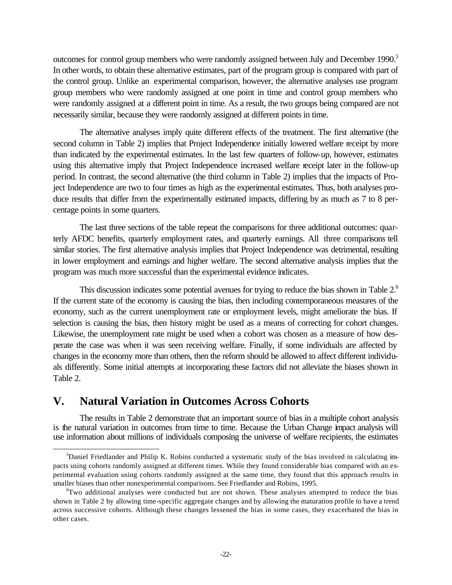outcomes for control group members who were randomly assigned between July and December 1990.<sup>5</sup> In other words, to obtain these alternative estimates, part of the program group is compared with part of the control group. Unlike an experimental comparison, however, the alternative analyses use program group members who were randomly assigned at one point in time and control group members who were randomly assigned at a different point in time. As a result, the two groups being compared are not necessarily similar, because they were randomly assigned at different points in time.

The alternative analyses imply quite different effects of the treatment. The first alternative (the second column in Table 2) implies that Project Independence initially lowered welfare receipt by more than indicated by the experimental estimates. In the last few quarters of follow-up, however, estimates using this alternative imply that Project Independence increased welfare receipt later in the follow-up period. In contrast, the second alternative (the third column in Table 2) implies that the impacts of Project Independence are two to four times as high as the experimental estimates. Thus, both analyses produce results that differ from the experimentally estimated impacts, differing by as much as 7 to 8 percentage points in some quarters.

The last three sections of the table repeat the comparisons for three additional outcomes: quarterly AFDC benefits, quarterly employment rates, and quarterly earnings. All three comparisons tell similar stories. The first alternative analysis implies that Project Independence was detrimental, resulting in lower employment and earnings and higher welfare. The second alternative analysis implies that the program was much more successful than the experimental evidence indicates.

This discussion indicates some potential avenues for trying to reduce the bias shown in Table 2.<sup>6</sup> If the current state of the economy is causing the bias, then including contemporaneous measures of the economy, such as the current unemployment rate or employment levels, might ameliorate the bias. If selection is causing the bias, then history might be used as a means of correcting for cohort changes. Likewise, the unemployment rate might be used when a cohort was chosen as a measure of how desperate the case was when it was seen receiving welfare. Finally, if some individuals are affected by changes in the economy more than others, then the reform should be allowed to affect different individuals differently. Some initial attempts at incorporating these factors did not alleviate the biases shown in Table 2.

# **V. Natural Variation in Outcomes Across Cohorts**

l

The results in Table 2 demonstrate that an important source of bias in a multiple cohort analysis is the natural variation in outcomes from time to time. Because the Urban Change impact analysis will use information about millions of individuals composing the universe of welfare recipients, the estimates

 $5$ Daniel Friedlander and Philip K. Robins conducted a systematic study of the bias involved in calculating impacts using cohorts randomly assigned at different times. While they found considerable bias compared with an experimental evaluation using cohorts randomly assigned at the same time, they found that this approach results in smaller biases than other nonexperimental comparisons. See Friedlander and Robins, 1995.

<sup>&</sup>lt;sup>6</sup>Two additional analyses were conducted but are not shown. These analyses attempted to reduce the bias shown in Table 2 by allowing time-specific aggregate changes and by allowing the maturation profile to have a trend across successive cohorts. Although these changes lessened the bias in some cases, they exacerbated the bias in other cases.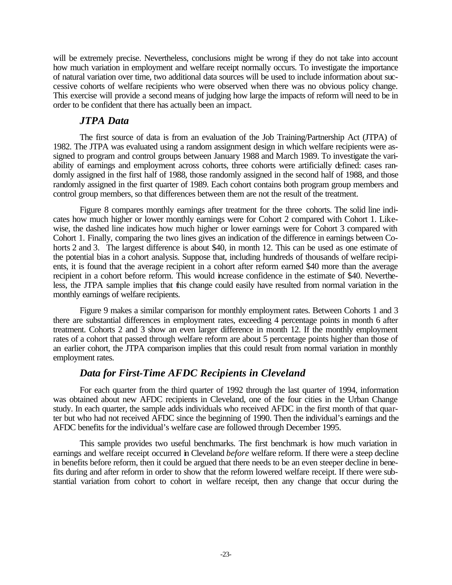will be extremely precise. Nevertheless, conclusions might be wrong if they do not take into account how much variation in employment and welfare receipt normally occurs. To investigate the importance of natural variation over time, two additional data sources will be used to include information about successive cohorts of welfare recipients who were observed when there was no obvious policy change. This exercise will provide a second means of judging how large the impacts of reform will need to be in order to be confident that there has actually been an impact.

#### *JTPA Data*

The first source of data is from an evaluation of the Job Training/Partnership Act (JTPA) of 1982. The JTPA was evaluated using a random assignment design in which welfare recipients were assigned to program and control groups between January 1988 and March 1989. To investigate the variability of earnings and employment across cohorts, three cohorts were artificially defined: cases randomly assigned in the first half of 1988, those randomly assigned in the second half of 1988, and those randomly assigned in the first quarter of 1989. Each cohort contains both program group members and control group members, so that differences between them are not the result of the treatment.

Figure 8 compares monthly earnings after treatment for the three cohorts. The solid line indicates how much higher or lower monthly earnings were for Cohort 2 compared with Cohort 1. Likewise, the dashed line indicates how much higher or lower earnings were for Cohort 3 compared with Cohort 1. Finally, comparing the two lines gives an indication of the difference in earnings between Cohorts 2 and 3. The largest difference is about \$40, in month 12. This can be used as one estimate of the potential bias in a cohort analysis. Suppose that, including hundreds of thousands of welfare recipients, it is found that the average recipient in a cohort after reform earned \$40 more than the average recipient in a cohort before reform. This would increase confidence in the estimate of \$40. Nevertheless, the JTPA sample implies that this change could easily have resulted from normal variation in the monthly earnings of welfare recipients.

Figure 9 makes a similar comparison for monthly employment rates. Between Cohorts 1 and 3 there are substantial differences in employment rates, exceeding 4 percentage points in month 6 after treatment. Cohorts 2 and 3 show an even larger difference in month 12. If the monthly employment rates of a cohort that passed through welfare reform are about 5 percentage points higher than those of an earlier cohort, the JTPA comparison implies that this could result from normal variation in monthly employment rates.

### *Data for First-Time AFDC Recipients in Cleveland*

For each quarter from the third quarter of 1992 through the last quarter of 1994, information was obtained about new AFDC recipients in Cleveland, one of the four cities in the Urban Change study. In each quarter, the sample adds individuals who received AFDC in the first month of that quarter but who had not received AFDC since the beginning of 1990. Then the individual's earnings and the AFDC benefits for the individual's welfare case are followed through December 1995.

This sample provides two useful benchmarks. The first benchmark is how much variation in earnings and welfare receipt occurred in Cleveland *before* welfare reform. If there were a steep decline in benefits before reform, then it could be argued that there needs to be an even steeper decline in benefits during and after reform in order to show that the reform lowered welfare receipt. If there were substantial variation from cohort to cohort in welfare receipt, then any change that occur during the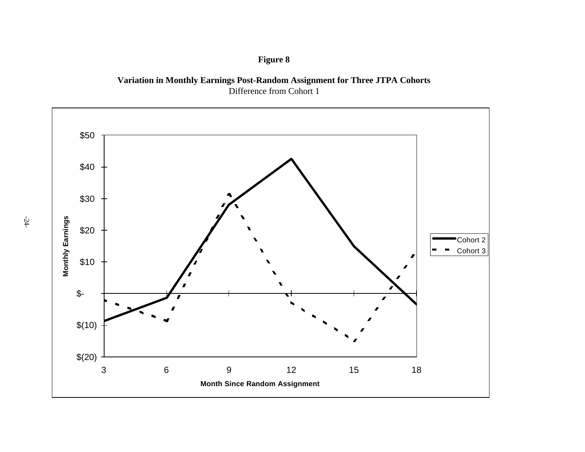

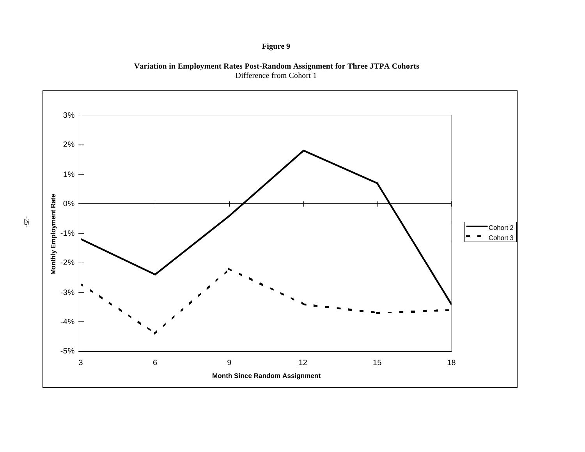

**Variation in Employment Rates Post-Random Assignment for Three JTPA Cohorts** Difference from Cohort 1



-25-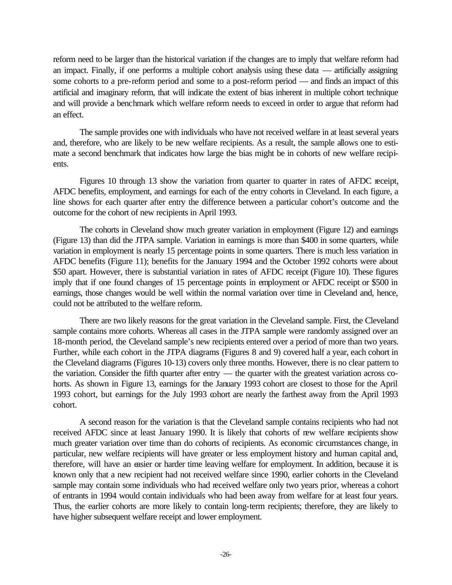reform need to be larger than the historical variation if the changes are to imply that welfare reform had an impact. Finally, if one performs a multiple cohort analysis using these data — artificially assigning some cohorts to a pre-reform period and some to a post-reform period — and finds an impact of this artificial and imaginary reform, that will indicate the extent of bias inherent in multiple cohort technique and will provide a benchmark which welfare reform needs to exceed in order to argue that reform had an effect.

The sample provides one with individuals who have not received welfare in at least several years and, therefore, who are likely to be new welfare recipients. As a result, the sample allows one to estimate a second benchmark that indicates how large the bias might be in cohorts of new welfare recipients.

Figures 10 through 13 show the variation from quarter to quarter in rates of AFDC receipt, AFDC benefits, employment, and earnings for each of the entry cohorts in Cleveland. In each figure, a line shows for each quarter after entry the difference between a particular cohort's outcome and the outcome for the cohort of new recipients in April 1993.

The cohorts in Cleveland show much greater variation in employment (Figure 12) and earnings (Figure 13) than did the JTPA sample. Variation in earnings is more than \$400 in some quarters, while variation in employment is nearly 15 percentage points in some quarters. There is much less variation in AFDC benefits (Figure 11); benefits for the January 1994 and the October 1992 cohorts were about \$50 apart. However, there is substantial variation in rates of AFDC receipt (Figure 10). These figures imply that if one found changes of 15 percentage points in employment or AFDC receipt or \$500 in earnings, those changes would be well within the normal variation over time in Cleveland and, hence, could not be attributed to the welfare reform.

There are two likely reasons for the great variation in the Cleveland sample. First, the Cleveland sample contains more cohorts. Whereas all cases in the JTPA sample were randomly assigned over an 18-month period, the Cleveland sample's new recipients entered over a period of more than two years. Further, while each cohort in the JTPA diagrams (Figures 8 and 9) covered half a year, each cohort in the Cleveland diagrams (Figures 10-13) covers only three months. However, there is no clear pattern to the variation. Consider the fifth quarter after entry — the quarter with the greatest variation across cohorts. As shown in Figure 13, earnings for the January 1993 cohort are closest to those for the April 1993 cohort, but earnings for the July 1993 cohort are nearly the farthest away from the April 1993 cohort.

A second reason for the variation is that the Cleveland sample contains recipients who had not received AFDC since at least January 1990. It is likely that cohorts of new welfare recipients show much greater variation over time than do cohorts of recipients. As economic circumstances change, in particular, new welfare recipients will have greater or less employment history and human capital and, therefore, will have an easier or harder time leaving welfare for employment. In addition, because it is known only that a new recipient had not received welfare since 1990, earlier cohorts in the Cleveland sample may contain some individuals who had received welfare only two years prior, whereas a cohort of entrants in 1994 would contain individuals who had been away from welfare for at least four years. Thus, the earlier cohorts are more likely to contain long-term recipients; therefore, they are likely to have higher subsequent welfare receipt and lower employment.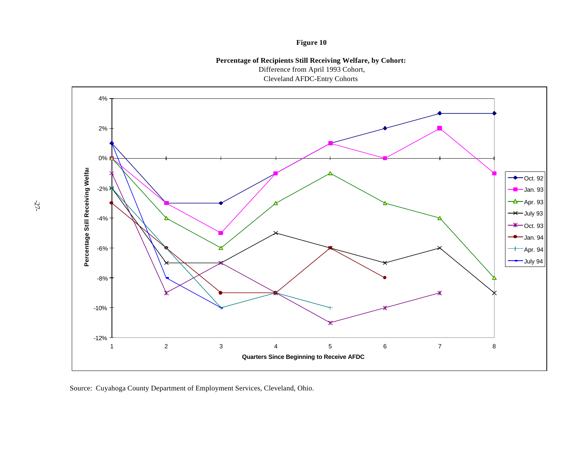**Percentage of Recipients Still Receiving Welfare, by Cohort:**

Difference from April 1993 Cohort,

Cleveland AFDC-Entry Cohorts



Source: Cuyahoga County Department of Employment Services, Cleveland, Ohio.

-27-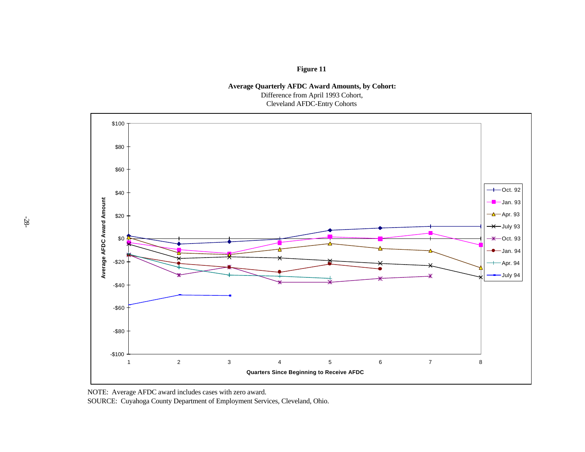**Average Quarterly AFDC Award Amounts, by Cohort:**

Difference from April 1993 Cohort,

Cleveland AFDC-Entry Cohorts



NOTE: Average AFDC award includes cases with zero award.

SOURCE: Cuyahoga County Department of Employment Services, Cleveland, Ohio.

-28-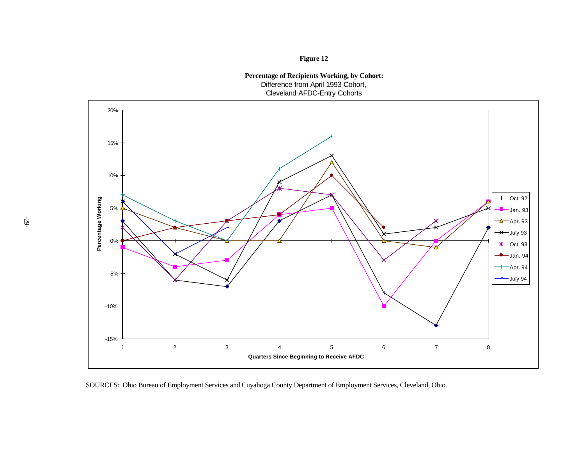**Figure 12**

**Percentage of Recipients Working, by Cohort:** Difference from April 1993 Cohort, Cleveland AFDC-Entry Cohorts



SOURCES: Ohio Bureau of Employment Services and Cuyahoga County Department of Employment Services, Cleveland, Ohio.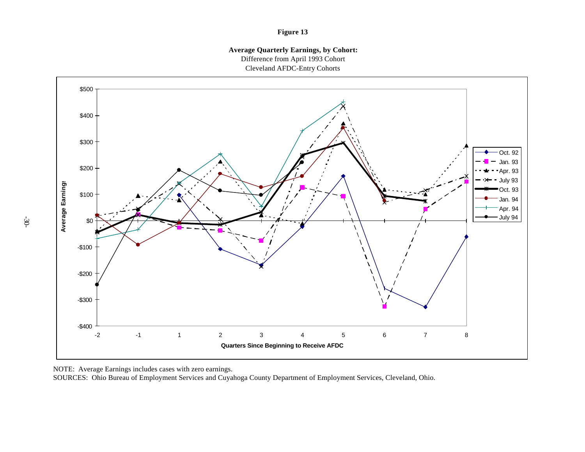**Average Quarterly Earnings, by Cohort:** Difference from April 1993 Cohort Cleveland AFDC-Entry Cohorts



NOTE: Average Earnings includes cases with zero earnings.

SOURCES: Ohio Bureau of Employment Services and Cuyahoga County Department of Employment Services, Cleveland, Ohio.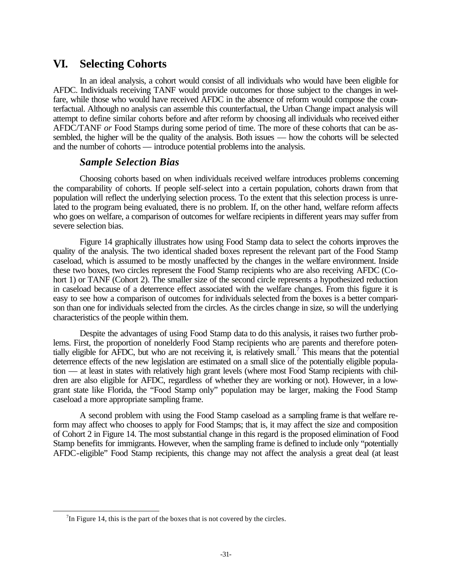# **VI. Selecting Cohorts**

In an ideal analysis, a cohort would consist of all individuals who would have been eligible for AFDC. Individuals receiving TANF would provide outcomes for those subject to the changes in welfare, while those who would have received AFDC in the absence of reform would compose the counterfactual. Although no analysis can assemble this counterfactual, the Urban Change impact analysis will attempt to define similar cohorts before and after reform by choosing all individuals who received either AFDC/TANF *or* Food Stamps during some period of time. The more of these cohorts that can be assembled, the higher will be the quality of the analysis. Both issues — how the cohorts will be selected and the number of cohorts — introduce potential problems into the analysis.

#### *Sample Selection Bias*

Choosing cohorts based on when individuals received welfare introduces problems concerning the comparability of cohorts. If people self-select into a certain population, cohorts drawn from that population will reflect the underlying selection process. To the extent that this selection process is unrelated to the program being evaluated, there is no problem. If, on the other hand, welfare reform affects who goes on welfare, a comparison of outcomes for welfare recipients in different years may suffer from severe selection bias.

Figure 14 graphically illustrates how using Food Stamp data to select the cohorts improves the quality of the analysis. The two identical shaded boxes represent the relevant part of the Food Stamp caseload, which is assumed to be mostly unaffected by the changes in the welfare environment. Inside these two boxes, two circles represent the Food Stamp recipients who are also receiving AFDC (Cohort 1) or TANF (Cohort 2). The smaller size of the second circle represents a hypothesized reduction in caseload because of a deterrence effect associated with the welfare changes. From this figure it is easy to see how a comparison of outcomes for individuals selected from the boxes is a better comparison than one for individuals selected from the circles. As the circles change in size, so will the underlying characteristics of the people within them.

Despite the advantages of using Food Stamp data to do this analysis, it raises two further problems. First, the proportion of nonelderly Food Stamp recipients who are parents and therefore potentially eligible for AFDC, but who are not receiving it, is relatively small.<sup>7</sup> This means that the potential deterrence effects of the new legislation are estimated on a small slice of the potentially eligible population — at least in states with relatively high grant levels (where most Food Stamp recipients with children are also eligible for AFDC, regardless of whether they are working or not). However, in a lowgrant state like Florida, the "Food Stamp only" population may be larger, making the Food Stamp caseload a more appropriate sampling frame.

A second problem with using the Food Stamp caseload as a sampling frame is that welfare reform may affect who chooses to apply for Food Stamps; that is, it may affect the size and composition of Cohort 2 in Figure 14. The most substantial change in this regard is the proposed elimination of Food Stamp benefits for immigrants. However, when the sampling frame is defined to include only "potentially AFDC-eligible" Food Stamp recipients, this change may not affect the analysis a great deal (at least

l

 $7$ In Figure 14, this is the part of the boxes that is not covered by the circles.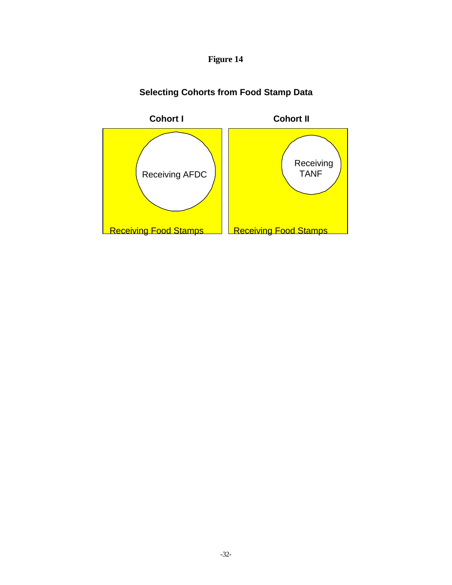



# **Selecting Cohorts from Food Stamp Data**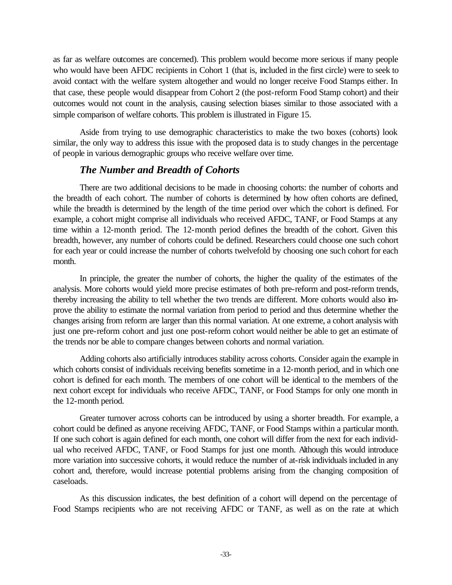as far as welfare outcomes are concerned). This problem would become more serious if many people who would have been AFDC recipients in Cohort 1 (that is, included in the first circle) were to seek to avoid contact with the welfare system altogether and would no longer receive Food Stamps either. In that case, these people would disappear from Cohort 2 (the post-reform Food Stamp cohort) and their outcomes would not count in the analysis, causing selection biases similar to those associated with a simple comparison of welfare cohorts. This problem is illustrated in Figure 15.

Aside from trying to use demographic characteristics to make the two boxes (cohorts) look similar, the only way to address this issue with the proposed data is to study changes in the percentage of people in various demographic groups who receive welfare over time.

#### *The Number and Breadth of Cohorts*

There are two additional decisions to be made in choosing cohorts: the number of cohorts and the breadth of each cohort. The number of cohorts is determined by how often cohorts are defined, while the breadth is determined by the length of the time period over which the cohort is defined. For example, a cohort might comprise all individuals who received AFDC, TANF, or Food Stamps at any time within a 12-month period. The 12-month period defines the breadth of the cohort. Given this breadth, however, any number of cohorts could be defined. Researchers could choose one such cohort for each year or could increase the number of cohorts twelvefold by choosing one such cohort for each month.

In principle, the greater the number of cohorts, the higher the quality of the estimates of the analysis. More cohorts would yield more precise estimates of both pre-reform and post-reform trends, thereby increasing the ability to tell whether the two trends are different. More cohorts would also improve the ability to estimate the normal variation from period to period and thus determine whether the changes arising from reform are larger than this normal variation. At one extreme, a cohort analysis with just one pre-reform cohort and just one post-reform cohort would neither be able to get an estimate of the trends nor be able to compare changes between cohorts and normal variation.

Adding cohorts also artificially introduces stability across cohorts. Consider again the example in which cohorts consist of individuals receiving benefits sometime in a 12-month period, and in which one cohort is defined for each month. The members of one cohort will be identical to the members of the next cohort except for individuals who receive AFDC, TANF, or Food Stamps for only one month in the 12-month period.

Greater turnover across cohorts can be introduced by using a shorter breadth. For example, a cohort could be defined as anyone receiving AFDC, TANF, or Food Stamps within a particular month. If one such cohort is again defined for each month, one cohort will differ from the next for each individual who received AFDC, TANF, or Food Stamps for just one month. Although this would introduce more variation into successive cohorts, it would reduce the number of at-risk individuals included in any cohort and, therefore, would increase potential problems arising from the changing composition of caseloads.

As this discussion indicates, the best definition of a cohort will depend on the percentage of Food Stamps recipients who are not receiving AFDC or TANF, as well as on the rate at which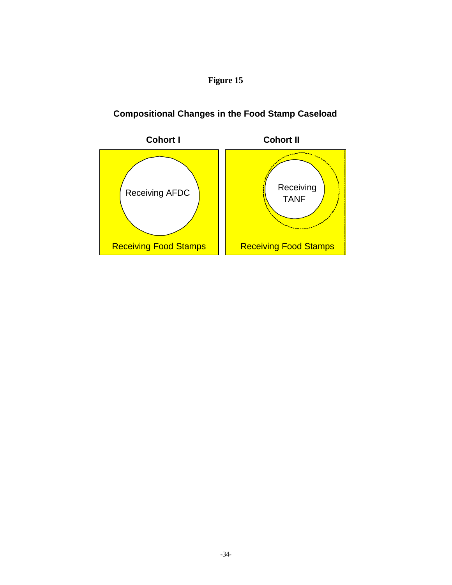# **Compositional Changes in the Food Stamp Caseload**

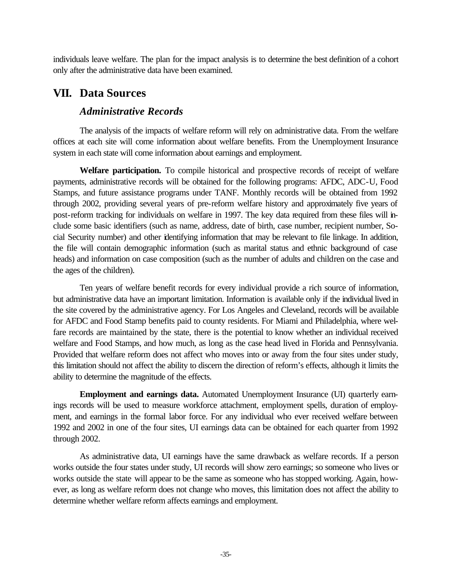individuals leave welfare. The plan for the impact analysis is to determine the best definition of a cohort only after the administrative data have been examined.

## **VII. Data Sources**

### *Administrative Records*

The analysis of the impacts of welfare reform will rely on administrative data. From the welfare offices at each site will come information about welfare benefits. From the Unemployment Insurance system in each state will come information about earnings and employment.

**Welfare participation.** To compile historical and prospective records of receipt of welfare payments, administrative records will be obtained for the following programs: AFDC, ADC-U, Food Stamps, and future assistance programs under TANF. Monthly records will be obtained from 1992 through 2002, providing several years of pre-reform welfare history and approximately five years of post-reform tracking for individuals on welfare in 1997. The key data required from these files will include some basic identifiers (such as name, address, date of birth, case number, recipient number, Social Security number) and other identifying information that may be relevant to file linkage. In addition, the file will contain demographic information (such as marital status and ethnic background of case heads) and information on case composition (such as the number of adults and children on the case and the ages of the children).

Ten years of welfare benefit records for every individual provide a rich source of information, but administrative data have an important limitation. Information is available only if the individual lived in the site covered by the administrative agency. For Los Angeles and Cleveland, records will be available for AFDC and Food Stamp benefits paid to county residents. For Miami and Philadelphia, where welfare records are maintained by the state, there is the potential to know whether an individual received welfare and Food Stamps, and how much, as long as the case head lived in Florida and Pennsylvania. Provided that welfare reform does not affect who moves into or away from the four sites under study, this limitation should not affect the ability to discern the direction of reform's effects, although it limits the ability to determine the magnitude of the effects.

**Employment and earnings data.** Automated Unemployment Insurance (UI) quarterly earnings records will be used to measure workforce attachment, employment spells, duration of employment, and earnings in the formal labor force. For any individual who ever received welfare between 1992 and 2002 in one of the four sites, UI earnings data can be obtained for each quarter from 1992 through 2002.

As administrative data, UI earnings have the same drawback as welfare records. If a person works outside the four states under study, UI records will show zero earnings; so someone who lives or works outside the state will appear to be the same as someone who has stopped working. Again, however, as long as welfare reform does not change who moves, this limitation does not affect the ability to determine whether welfare reform affects earnings and employment.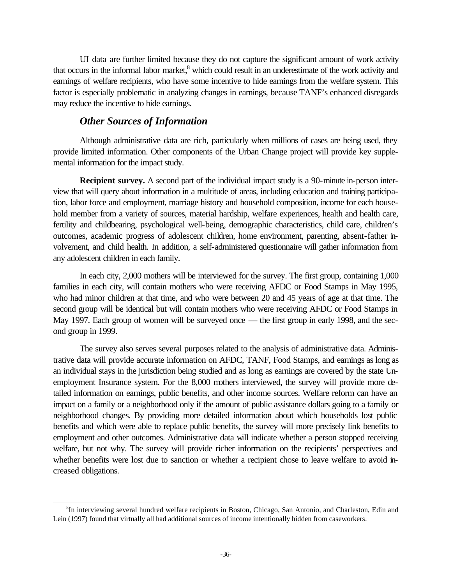UI data are further limited because they do not capture the significant amount of work activity that occurs in the informal labor market,<sup>8</sup> which could result in an underestimate of the work activity and earnings of welfare recipients, who have some incentive to hide earnings from the welfare system. This factor is especially problematic in analyzing changes in earnings, because TANF's enhanced disregards may reduce the incentive to hide earnings.

#### *Other Sources of Information*

l

Although administrative data are rich, particularly when millions of cases are being used, they provide limited information. Other components of the Urban Change project will provide key supplemental information for the impact study.

**Recipient survey.** A second part of the individual impact study is a 90-minute in-person interview that will query about information in a multitude of areas, including education and training participation, labor force and employment, marriage history and household composition, income for each household member from a variety of sources, material hardship, welfare experiences, health and health care, fertility and childbearing, psychological well-being, demographic characteristics, child care, children's outcomes, academic progress of adolescent children, home environment, parenting, absent-father involvement, and child health. In addition, a self-administered questionnaire will gather information from any adolescent children in each family.

In each city, 2,000 mothers will be interviewed for the survey. The first group, containing 1,000 families in each city, will contain mothers who were receiving AFDC or Food Stamps in May 1995, who had minor children at that time, and who were between 20 and 45 years of age at that time. The second group will be identical but will contain mothers who were receiving AFDC or Food Stamps in May 1997. Each group of women will be surveyed once — the first group in early 1998, and the second group in 1999.

The survey also serves several purposes related to the analysis of administrative data. Administrative data will provide accurate information on AFDC, TANF, Food Stamps, and earnings as long as an individual stays in the jurisdiction being studied and as long as earnings are covered by the state Unemployment Insurance system. For the 8,000 mothers interviewed, the survey will provide more detailed information on earnings, public benefits, and other income sources. Welfare reform can have an impact on a family or a neighborhood only if the amount of public assistance dollars going to a family or neighborhood changes. By providing more detailed information about which households lost public benefits and which were able to replace public benefits, the survey will more precisely link benefits to employment and other outcomes. Administrative data will indicate whether a person stopped receiving welfare, but not why. The survey will provide richer information on the recipients' perspectives and whether benefits were lost due to sanction or whether a recipient chose to leave welfare to avoid increased obligations.

<sup>&</sup>lt;sup>8</sup>In interviewing several hundred welfare recipients in Boston, Chicago, San Antonio, and Charleston, Edin and Lein (1997) found that virtually all had additional sources of income intentionally hidden from caseworkers.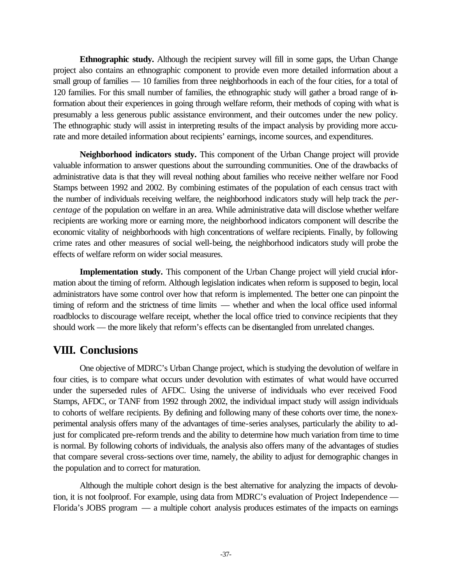**Ethnographic study.** Although the recipient survey will fill in some gaps, the Urban Change project also contains an ethnographic component to provide even more detailed information about a small group of families — 10 families from three neighborhoods in each of the four cities, for a total of 120 families. For this small number of families, the ethnographic study will gather a broad range of information about their experiences in going through welfare reform, their methods of coping with what is presumably a less generous public assistance environment, and their outcomes under the new policy. The ethnographic study will assist in interpreting results of the impact analysis by providing more accurate and more detailed information about recipients' earnings, income sources, and expenditures.

**Neighborhood indicators study.** This component of the Urban Change project will provide valuable information to answer questions about the surrounding communities. One of the drawbacks of administrative data is that they will reveal nothing about families who receive neither welfare nor Food Stamps between 1992 and 2002. By combining estimates of the population of each census tract with the number of individuals receiving welfare, the neighborhood indicators study will help track the *percentage* of the population on welfare in an area. While administrative data will disclose whether welfare recipients are working more or earning more, the neighborhood indicators component will describe the economic vitality of neighborhoods with high concentrations of welfare recipients. Finally, by following crime rates and other measures of social well-being, the neighborhood indicators study will probe the effects of welfare reform on wider social measures.

**Implementation study.** This component of the Urban Change project will yield crucial information about the timing of reform. Although legislation indicates when reform is supposed to begin, local administrators have some control over how that reform is implemented. The better one can pinpoint the timing of reform and the strictness of time limits — whether and when the local office used informal roadblocks to discourage welfare receipt, whether the local office tried to convince recipients that they should work — the more likely that reform's effects can be disentangled from unrelated changes.

# **VIII. Conclusions**

One objective of MDRC's Urban Change project, which is studying the devolution of welfare in four cities, is to compare what occurs under devolution with estimates of what would have occurred under the superseded rules of AFDC. Using the universe of individuals who ever received Food Stamps, AFDC, or TANF from 1992 through 2002, the individual impact study will assign individuals to cohorts of welfare recipients. By defining and following many of these cohorts over time, the nonexperimental analysis offers many of the advantages of time-series analyses, particularly the ability to adjust for complicated pre-reform trends and the ability to determine how much variation from time to time is normal. By following cohorts of individuals, the analysis also offers many of the advantages of studies that compare several cross-sections over time, namely, the ability to adjust for demographic changes in the population and to correct for maturation.

Although the multiple cohort design is the best alternative for analyzing the impacts of devolution, it is not foolproof. For example, using data from MDRC's evaluation of Project Independence — Florida's JOBS program — a multiple cohort analysis produces estimates of the impacts on earnings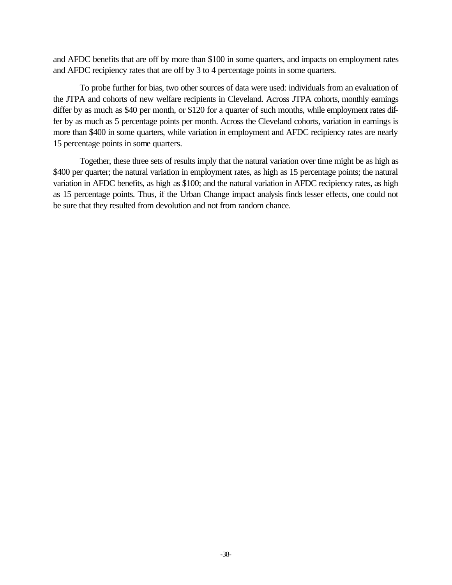and AFDC benefits that are off by more than \$100 in some quarters, and impacts on employment rates and AFDC recipiency rates that are off by 3 to 4 percentage points in some quarters.

To probe further for bias, two other sources of data were used: individuals from an evaluation of the JTPA and cohorts of new welfare recipients in Cleveland. Across JTPA cohorts, monthly earnings differ by as much as \$40 per month, or \$120 for a quarter of such months, while employment rates differ by as much as 5 percentage points per month. Across the Cleveland cohorts, variation in earnings is more than \$400 in some quarters, while variation in employment and AFDC recipiency rates are nearly 15 percentage points in some quarters.

Together, these three sets of results imply that the natural variation over time might be as high as \$400 per quarter; the natural variation in employment rates, as high as 15 percentage points; the natural variation in AFDC benefits, as high as \$100; and the natural variation in AFDC recipiency rates, as high as 15 percentage points. Thus, if the Urban Change impact analysis finds lesser effects, one could not be sure that they resulted from devolution and not from random chance.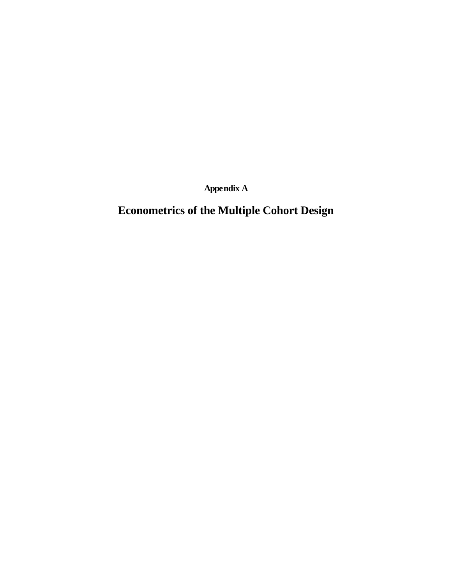**Appendix A**

# **Econometrics of the Multiple Cohort Design**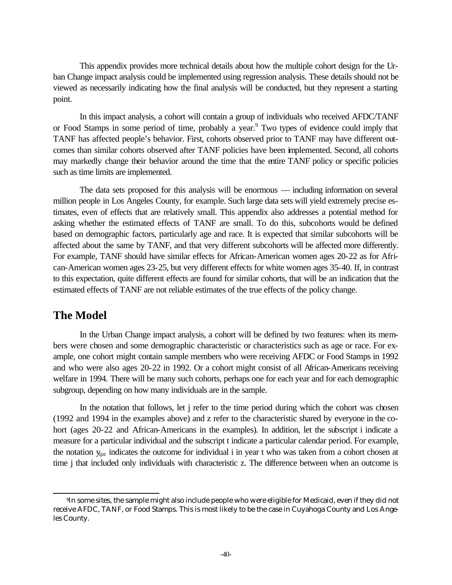This appendix provides more technical details about how the multiple cohort design for the Urban Change impact analysis could be implemented using regression analysis. These details should not be viewed as necessarily indicating how the final analysis will be conducted, but they represent a starting point.

In this impact analysis, a cohort will contain a group of individuals who received AFDC/TANF or Food Stamps in some period of time, probably a year.<sup>9</sup> Two types of evidence could imply that TANF has affected people's behavior. First, cohorts observed prior to TANF may have different outcomes than similar cohorts observed after TANF policies have been implemented. Second, all cohorts may markedly change their behavior around the time that the entire TANF policy or specific policies such as time limits are implemented.

The data sets proposed for this analysis will be enormous — including information on several million people in Los Angeles County, for example. Such large data sets will yield extremely precise estimates, even of effects that are relatively small. This appendix also addresses a potential method for asking whether the estimated effects of TANF are small. To do this, subcohorts would be defined based on demographic factors, particularly age and race. It is expected that similar subcohorts will be affected about the same by TANF, and that very different subcohorts will be affected more differently. For example, TANF should have similar effects for African-American women ages 20-22 as for African-American women ages 23-25, but very different effects for white women ages 35-40. If, in contrast to this expectation, quite different effects are found for similar cohorts, that will be an indication that the estimated effects of TANF are not reliable estimates of the true effects of the policy change.

## **The Model**

In the Urban Change impact analysis, a cohort will be defined by two features: when its members were chosen and some demographic characteristic or characteristics such as age or race. For example, one cohort might contain sample members who were receiving AFDC or Food Stamps in 1992 and who were also ages 20-22 in 1992. Or a cohort might consist of all African-Americans receiving welfare in 1994. There will be many such cohorts, perhaps one for each year and for each demographic subgroup, depending on how many individuals are in the sample.

In the notation that follows, let j refer to the time period during which the cohort was chosen (1992 and 1994 in the examples above) and z refer to the characteristic shared by everyone in the cohort (ages 20-22 and African-Americans in the examples). In addition, let the subscript i indicate a measure for a particular individual and the subscript t indicate a particular calendar period. For example, the notation  $y_{ijzt}$  indicates the outcome for individual i in year t who was taken from a cohort chosen at time j that included only individuals with characteristic z. The difference between when an outcome is

l <sup>9</sup>In some sites, the sample might also include people who were eligible for Medicaid, even if they did not receive AFDC, TANF, or Food Stamps. This is most likely to be the case in Cuyahoga County and Los Angeles County.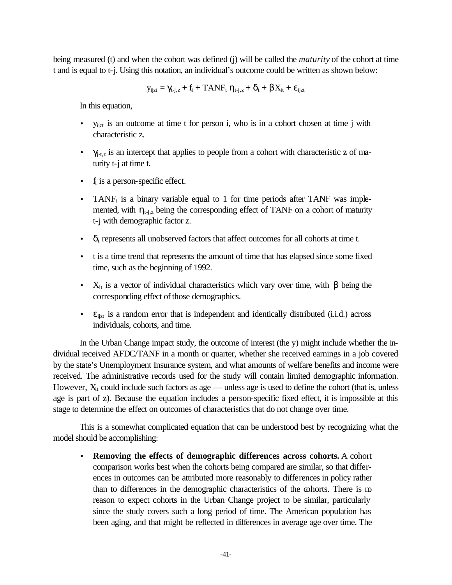being measured (t) and when the cohort was defined (j) will be called the *maturity* of the cohort at time t and is equal to t-j. Using this notation, an individual's outcome could be written as shown below:

$$
y_{ijzt} = \gamma_{t-j,z} + f_i + TANF_t \; \eta_{t-j,z} + \delta_t + \beta X_{it} + \epsilon_{ijzt}
$$

In this equation,

- yijzt is an outcome at time t for person i, who is in a cohort chosen at time j with characteristic z.
- $\gamma_{j,t,z}$  is an intercept that applies to people from a cohort with characteristic z of maturity t-j at time t.
- $\bullet$  f<sub>i</sub> is a person-specific effect.
- TANF<sub>t</sub> is a binary variable equal to 1 for time periods after TANF was implemented, with  $\eta_{t-i,z}$  being the corresponding effect of TANF on a cohort of maturity t-j with demographic factor z.
- $\bullet$   $\delta_t$  represents all unobserved factors that affect outcomes for all cohorts at time t.
- t is a time trend that represents the amount of time that has elapsed since some fixed time, such as the beginning of 1992.
- $X_{it}$  is a vector of individual characteristics which vary over time, with β being the corresponding effect of those demographics.
- $\bullet$   $\varepsilon_{ijzt}$  is a random error that is independent and identically distributed (i.i.d.) across individuals, cohorts, and time.

In the Urban Change impact study, the outcome of interest (the y) might include whether the individual received AFDC/TANF in a month or quarter, whether she received earnings in a job covered by the state's Unemployment Insurance system, and what amounts of welfare benefits and income were received. The administrative records used for the study will contain limited demographic information. However,  $X_{it}$  could include such factors as age — unless age is used to define the cohort (that is, unless age is part of z). Because the equation includes a person-specific fixed effect, it is impossible at this stage to determine the effect on outcomes of characteristics that do not change over time.

This is a somewhat complicated equation that can be understood best by recognizing what the model should be accomplishing:

• **Removing the effects of demographic differences across cohorts.** A cohort comparison works best when the cohorts being compared are similar, so that differences in outcomes can be attributed more reasonably to differences in policy rather than to differences in the demographic characteristics of the cohorts. There is no reason to expect cohorts in the Urban Change project to be similar, particularly since the study covers such a long period of time. The American population has been aging, and that might be reflected in differences in average age over time. The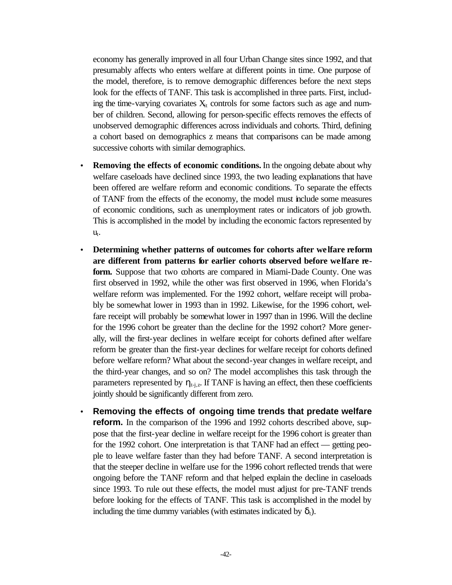economy has generally improved in all four Urban Change sites since 1992, and that presumably affects who enters welfare at different points in time. One purpose of the model, therefore, is to remove demographic differences before the next steps look for the effects of TANF. This task is accomplished in three parts. First, including the time-varying covariates  $X_{it}$  controls for some factors such as age and number of children. Second, allowing for person-specific effects removes the effects of unobserved demographic differences across individuals and cohorts. Third, defining a cohort based on demographics z means that comparisons can be made among successive cohorts with similar demographics.

- **Removing the effects of economic conditions.** In the ongoing debate about why welfare caseloads have declined since 1993, the two leading explanations that have been offered are welfare reform and economic conditions. To separate the effects of TANF from the effects of the economy, the model must include some measures of economic conditions, such as unemployment rates or indicators of job growth. This is accomplished in the model by including the economic factors represented by  $u_t$ .
- **Determining whether patterns of outcomes for cohorts after welfare reform are different from patterns for earlier cohorts observed before we lfare re**form. Suppose that two cohorts are compared in Miami-Dade County. One was first observed in 1992, while the other was first observed in 1996, when Florida's welfare reform was implemented. For the 1992 cohort, welfare receipt will probably be somewhat lower in 1993 than in 1992. Likewise, for the 1996 cohort, welfare receipt will probably be somewhat lower in 1997 than in 1996. Will the decline for the 1996 cohort be greater than the decline for the 1992 cohort? More generally, will the first-year declines in welfare receipt for cohorts defined after welfare reform be greater than the first-year declines for welfare receipt for cohorts defined before welfare reform? What about the second-year changes in welfare receipt, and the third-year changes, and so on? The model accomplishes this task through the parameters represented by  $\eta_{t-i,z}$ . If TANF is having an effect, then these coefficients jointly should be significantly different from zero.
- **Removing the effects of ongoing time trends that predate welfare reform.** In the comparison of the 1996 and 1992 cohorts described above, suppose that the first-year decline in welfare receipt for the 1996 cohort is greater than for the 1992 cohort. One interpretation is that TANF had an effect — getting people to leave welfare faster than they had before TANF. A second interpretation is that the steeper decline in welfare use for the 1996 cohort reflected trends that were ongoing before the TANF reform and that helped explain the decline in caseloads since 1993. To rule out these effects, the model must adjust for pre-TANF trends before looking for the effects of TANF. This task is accomplished in the model by including the time dummy variables (with estimates indicated by  $\delta_t$ ).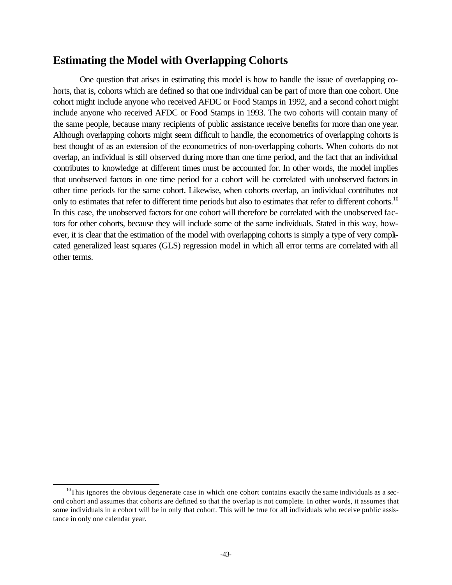# **Estimating the Model with Overlapping Cohorts**

One question that arises in estimating this model is how to handle the issue of overlapping cohorts, that is, cohorts which are defined so that one individual can be part of more than one cohort. One cohort might include anyone who received AFDC or Food Stamps in 1992, and a second cohort might include anyone who received AFDC or Food Stamps in 1993. The two cohorts will contain many of the same people, because many recipients of public assistance receive benefits for more than one year. Although overlapping cohorts might seem difficult to handle, the econometrics of overlapping cohorts is best thought of as an extension of the econometrics of non-overlapping cohorts. When cohorts do not overlap, an individual is still observed during more than one time period, and the fact that an individual contributes to knowledge at different times must be accounted for. In other words, the model implies that unobserved factors in one time period for a cohort will be correlated with unobserved factors in other time periods for the same cohort. Likewise, when cohorts overlap, an individual contributes not only to estimates that refer to different time periods but also to estimates that refer to different cohorts.<sup>10</sup> In this case, the unobserved factors for one cohort will therefore be correlated with the unobserved factors for other cohorts, because they will include some of the same individuals. Stated in this way, however, it is clear that the estimation of the model with overlapping cohorts is simply a type of very complicated generalized least squares (GLS) regression model in which all error terms are correlated with all other terms.

l

 $10$ This ignores the obvious degenerate case in which one cohort contains exactly the same individuals as a second cohort and assumes that cohorts are defined so that the overlap is not complete. In other words, it assumes that some individuals in a cohort will be in only that cohort. This will be true for all individuals who receive public assistance in only one calendar year.